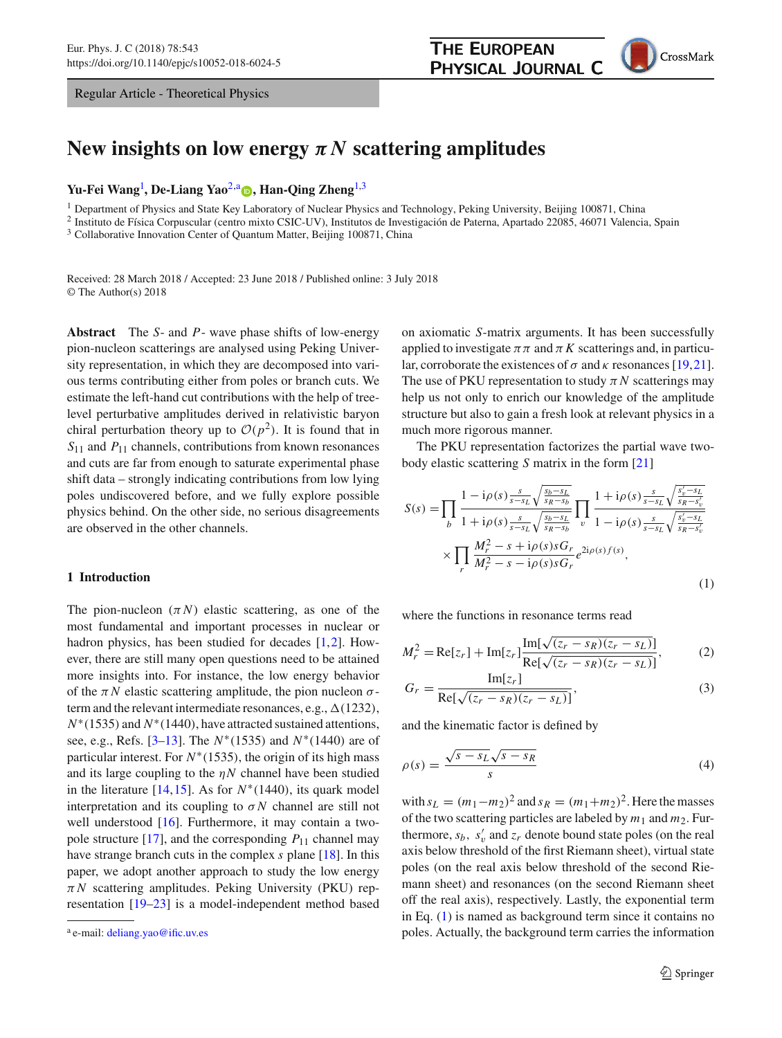Regular Article - Theoretical Physics



<span id="page-0-1"></span><span id="page-0-0"></span>

# New insights on low energy  $\pi N$  scattering amplitudes

## **Yu-Fei Wang**[1](#page-0-0) **, De-Liang Yao**[2,](#page-0-0)a **[,](http://orcid.org/0000-0002-5524-2117) Han-Qing Zheng**[1,](#page-0-0)[3](#page-0-1)

<sup>1</sup> Department of Physics and State Key Laboratory of Nuclear Physics and Technology, Peking University, Beijing 100871, China

<sup>2</sup> Instituto de Física Corpuscular (centro mixto CSIC-UV), Institutos de Investigación de Paterna, Apartado 22085, 46071 Valencia, Spain

<sup>3</sup> Collaborative Innovation Center of Quantum Matter, Beijing 100871, China

Received: 28 March 2018 / Accepted: 23 June 2018 / Published online: 3 July 2018 © The Author(s) 2018

**Abstract** The *S*- and *P*- wave phase shifts of low-energy pion-nucleon scatterings are analysed using Peking University representation, in which they are decomposed into various terms contributing either from poles or branch cuts. We estimate the left-hand cut contributions with the help of treelevel perturbative amplitudes derived in relativistic baryon chiral perturbation theory up to  $\mathcal{O}(p^2)$ . It is found that in *S*<sup>11</sup> and *P*<sup>11</sup> channels, contributions from known resonances and cuts are far from enough to saturate experimental phase shift data – strongly indicating contributions from low lying poles undiscovered before, and we fully explore possible physics behind. On the other side, no serious disagreements are observed in the other channels.

#### **1 Introduction**

The pion-nucleon  $(\pi N)$  elastic scattering, as one of the most fundamental and important processes in nuclear or hadron physics, has been studied for decades [\[1](#page-17-0)[,2](#page-17-1)]. However, there are still many open questions need to be attained more insights into. For instance, the low energy behavior of the  $\pi N$  elastic scattering amplitude, the pion nucleon  $\sigma$ term and the relevant intermediate resonances, e.g.,  $\Delta(1232)$ , *N*<sup>∗</sup>(1535) and *N*<sup>∗</sup>(1440), have attracted sustained attentions, see, e.g., Refs. [\[3](#page-17-2)[–13\]](#page-17-3). The *N*∗(1535) and *N*∗(1440) are of particular interest. For *N*∗(1535), the origin of its high mass and its large coupling to the  $\eta N$  channel have been studied in the literature [ $14,15$ ]. As for  $N*(1440)$ , its quark model interpretation and its coupling to  $\sigma N$  channel are still not well understood [\[16](#page-17-6)]. Furthermore, it may contain a twopole structure  $[17]$ , and the corresponding  $P_{11}$  channel may have strange branch cuts in the complex *s* plane [\[18\]](#page-17-8). In this paper, we adopt another approach to study the low energy  $\pi N$  scattering amplitudes. Peking University (PKU) representation [\[19](#page-17-9)[–23\]](#page-17-10) is a model-independent method based on axiomatic *S*-matrix arguments. It has been successfully applied to investigate  $\pi \pi$  and  $\pi K$  scatterings and, in particular, corroborate the existences of  $\sigma$  and  $\kappa$  resonances [\[19](#page-17-9)[,21](#page-17-11)]. The use of PKU representation to study  $\pi N$  scatterings may help us not only to enrich our knowledge of the amplitude structure but also to gain a fresh look at relevant physics in a much more rigorous manner.

<span id="page-0-2"></span>The PKU representation factorizes the partial wave twobody elastic scattering *S* matrix in the form [\[21\]](#page-17-11)

$$
S(s) = \prod_{b} \frac{1 - i\rho(s) \frac{s}{s - s_L} \sqrt{\frac{s_b - s_L}{s_R - s_b}}}{1 + i\rho(s) \frac{s}{s - s_L} \sqrt{\frac{s_b - s_L}{s_R - s_b}}} \prod_{v} \frac{1 + i\rho(s) \frac{s}{s - s_L} \sqrt{\frac{s_v' - s_L}{s_R - s_v'}}}{1 - i\rho(s) \frac{s}{s - s_L} \sqrt{\frac{s_v' - s_L}{s_R - s_v'}}}
$$

$$
\times \prod_{r} \frac{M_r^2 - s + i\rho(s) s G_r}{M_r^2 - s - i\rho(s) s G_r} e^{2i\rho(s) f(s)},
$$
(1)

where the functions in resonance terms read

$$
M_r^2 = \text{Re}[z_r] + \text{Im}[z_r] \frac{\text{Im}[\sqrt{(z_r - s_R)(z_r - s_L)}]}{\text{Re}[\sqrt{(z_r - s_R)(z_r - s_L)}]},\tag{2}
$$

$$
G_r = \frac{\text{Im}[z_r]}{\text{Re}[\sqrt{(z_r - s_R)(z_r - s_L)}]},\tag{3}
$$

<span id="page-0-3"></span>and the kinematic factor is defined by

$$
\rho(s) = \frac{\sqrt{s - s_L}\sqrt{s - s_R}}{s} \tag{4}
$$

with  $s_L = (m_1 - m_2)^2$  and  $s_R = (m_1 + m_2)^2$ . Here the masses of the two scattering particles are labeled by  $m_1$  and  $m_2$ . Furthermore,  $s_b$ ,  $s'_v$  and  $z_r$  denote bound state poles (on the real axis below threshold of the first Riemann sheet), virtual state poles (on the real axis below threshold of the second Riemann sheet) and resonances (on the second Riemann sheet off the real axis), respectively. Lastly, the exponential term in Eq. [\(1\)](#page-0-2) is named as background term since it contains no poles. Actually, the background term carries the information

<sup>a</sup> e-mail: [deliang.yao@ific.uv.es](mailto:deliang.yao@ific.uv.es)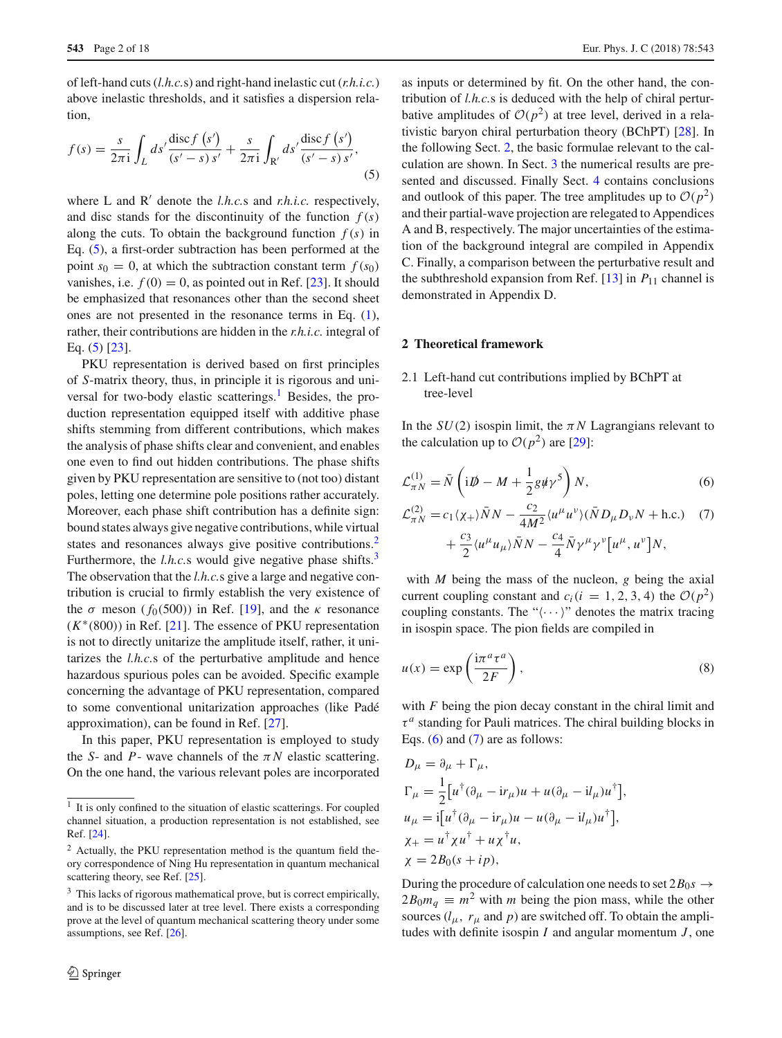of left-hand cuts (*l.h.c.*s) and right-hand inelastic cut (*r.h.i.c.*) above inelastic thresholds, and it satisfies a dispersion relation,

<span id="page-1-0"></span>
$$
f(s) = \frac{s}{2\pi i} \int_L ds' \frac{\text{disc } f\left(s'\right)}{\left(s'-s\right) s'} + \frac{s}{2\pi i} \int_{R'} ds' \frac{\text{disc } f\left(s'\right)}{\left(s'-s\right) s'},\tag{5}
$$

where  $L$  and  $R'$  denote the *l.h.c.s* and *r.h.i.c.* respectively, and disc stands for the discontinuity of the function  $f(s)$ along the cuts. To obtain the background function  $f(s)$  in Eq. [\(5\)](#page-1-0), a first-order subtraction has been performed at the point  $s_0 = 0$ , at which the subtraction constant term  $f(s_0)$ vanishes, i.e.  $f(0) = 0$ , as pointed out in Ref. [\[23](#page-17-10)]. It should be emphasized that resonances other than the second sheet ones are not presented in the resonance terms in Eq. [\(1\)](#page-0-2), rather, their contributions are hidden in the *r.h.i.c.* integral of Eq. [\(5\)](#page-1-0) [\[23](#page-17-10)].

PKU representation is derived based on first principles of *S*-matrix theory, thus, in principle it is rigorous and uni-versal for two-body elastic scatterings.<sup>[1](#page-1-1)</sup> Besides, the production representation equipped itself with additive phase shifts stemming from different contributions, which makes the analysis of phase shifts clear and convenient, and enables one even to find out hidden contributions. The phase shifts given by PKU representation are sensitive to (not too) distant poles, letting one determine pole positions rather accurately. Moreover, each phase shift contribution has a definite sign: bound states always give negative contributions, while virtual states and resonances always give positive contributions.<sup>[2](#page-1-2)</sup> Furthermore, the *l.h.c.s* would give negative phase shifts.<sup>3</sup> The observation that the *l.h.c.*s give a large and negative contribution is crucial to firmly establish the very existence of the  $\sigma$  meson ( $f_0(500)$ ) in Ref. [\[19\]](#page-17-9), and the  $\kappa$  resonance (*K*∗(800)) in Ref. [\[21](#page-17-11)]. The essence of PKU representation is not to directly unitarize the amplitude itself, rather, it unitarizes the *l.h.c.*s of the perturbative amplitude and hence hazardous spurious poles can be avoided. Specific example concerning the advantage of PKU representation, compared to some conventional unitarization approaches (like Padé approximation), can be found in Ref. [\[27](#page-17-12)].

In this paper, PKU representation is employed to study the *S*- and *P*- wave channels of the  $\pi N$  elastic scattering. On the one hand, the various relevant poles are incorporated

as inputs or determined by fit. On the other hand, the contribution of *l.h.c.*s is deduced with the help of chiral perturbative amplitudes of  $O(p^2)$  at tree level, derived in a relativistic baryon chiral perturbation theory (BChPT) [\[28\]](#page-17-16). In the following Sect. [2,](#page-1-4) the basic formulae relevant to the calculation are shown. In Sect. [3](#page-3-0) the numerical results are presented and discussed. Finally Sect. [4](#page-10-0) contains conclusions and outlook of this paper. The tree amplitudes up to  $\mathcal{O}(p^2)$ and their partial-wave projection are relegated to Appendices A and B, respectively. The major uncertainties of the estimation of the background integral are compiled in Appendix C. Finally, a comparison between the perturbative result and the subthreshold expansion from Ref.  $[13]$  $[13]$  in  $P_{11}$  channel is demonstrated in Appendix D.

## <span id="page-1-4"></span>**2 Theoretical framework**

## 2.1 Left-hand cut contributions implied by BChPT at tree-level

In the  $SU(2)$  isospin limit, the  $\pi N$  Lagrangians relevant to the calculation up to  $\mathcal{O}(p^2)$  are [\[29\]](#page-17-17):

<span id="page-1-5"></span>
$$
\mathcal{L}_{\pi N}^{(1)} = \bar{N} \left( i \mathcal{D} - M + \frac{1}{2} g \psi \gamma^5 \right) N, \tag{6}
$$

<span id="page-1-6"></span>
$$
\mathcal{L}_{\pi N}^{(2)} = c_1 \langle \chi_+ \rangle \bar{N} N - \frac{c_2}{4M^2} \langle u^\mu u^\nu \rangle (\bar{N} D_\mu D_\nu N + \text{h.c.}) \quad (7)
$$

$$
+ \frac{c_3}{2} \langle u^\mu u_\mu \rangle \bar{N} N - \frac{c_4}{4} \bar{N} \gamma^\mu \gamma^\nu [u^\mu, u^\nu] N,
$$

with *M* being the mass of the nucleon, *g* being the axial current coupling constant and  $c_i(i = 1, 2, 3, 4)$  the  $\mathcal{O}(p^2)$ coupling constants. The " $\langle \cdots \rangle$ " denotes the matrix tracing in isospin space. The pion fields are compiled in

$$
u(x) = \exp\left(\frac{i\pi^a \tau^a}{2F}\right),\tag{8}
$$

with *F* being the pion decay constant in the chiral limit and  $\tau^a$  standing for Pauli matrices. The chiral building blocks in Eqs.  $(6)$  and  $(7)$  are as follows:

$$
D_{\mu} = \partial_{\mu} + \Gamma_{\mu},
$$
  
\n
$$
\Gamma_{\mu} = \frac{1}{2} \left[ u^{\dagger} (\partial_{\mu} - i r_{\mu}) u + u (\partial_{\mu} - i l_{\mu}) u^{\dagger} \right],
$$
  
\n
$$
u_{\mu} = i \left[ u^{\dagger} (\partial_{\mu} - i r_{\mu}) u - u (\partial_{\mu} - i l_{\mu}) u^{\dagger} \right],
$$
  
\n
$$
\chi_{+} = u^{\dagger} \chi u^{\dagger} + u \chi^{\dagger} u,
$$
  
\n
$$
\chi = 2B_0(s + ip),
$$

During the procedure of calculation one needs to set  $2B_0s \rightarrow$  $2B_0m_q \equiv m^2$  with *m* being the pion mass, while the other sources  $(l_{\mu}, r_{\mu}$  and *p*) are switched off. To obtain the amplitudes with definite isospin *I* and angular momentum *J* , one

<span id="page-1-1"></span><sup>&</sup>lt;sup>1</sup> It is only confined to the situation of elastic scatterings. For coupled channel situation, a production representation is not established, see Ref. [\[24\]](#page-17-13).

<span id="page-1-2"></span><sup>2</sup> Actually, the PKU representation method is the quantum field theory correspondence of Ning Hu representation in quantum mechanical scattering theory, see Ref. [\[25](#page-17-14)].

<span id="page-1-3"></span><sup>&</sup>lt;sup>3</sup> This lacks of rigorous mathematical prove, but is correct empirically, and is to be discussed later at tree level. There exists a corresponding prove at the level of quantum mechanical scattering theory under some assumptions, see Ref. [\[26\]](#page-17-15).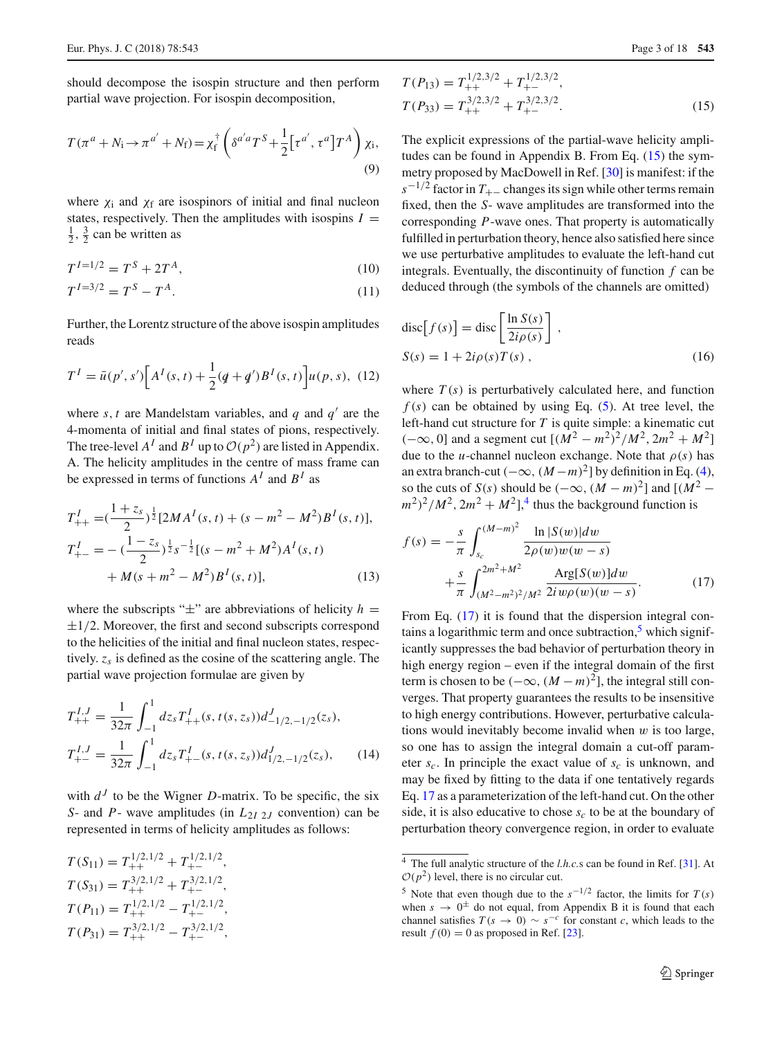should decompose the isospin structure and then perform partial wave projection. For isospin decomposition,

$$
T(\pi^a + N_i \to \pi^{a'} + N_f) = \chi_f^{\dagger} \left( \delta^{a'a} T^S + \frac{1}{2} \left[ \tau^{a'}, \tau^a \right] T^A \right) \chi_i,
$$
\n(9)

where  $\chi_i$  and  $\chi_f$  are isospinors of initial and final nucleon states, respectively. Then the amplitudes with isospins  $I =$  $\frac{1}{2}$ ,  $\frac{3}{2}$  can be written as

$$
T^{I=1/2} = T^S + 2T^A,\tag{10}
$$

$$
T^{I=3/2} = T^S - T^A.
$$
\n(11)

Further, the Lorentz structure of the above isospin amplitudes reads

$$
T^{I} = \bar{u}(p', s') \Big[ A^{I}(s, t) + \frac{1}{2} (q + q') B^{I}(s, t) \Big] u(p, s), \tag{12}
$$

where  $s, t$  are Mandelstam variables, and  $q$  and  $q'$  are the 4-momenta of initial and final states of pions, respectively. The tree-level  $A^I$  and  $B^I$  up to  $\mathcal{O}(p^2)$  are listed in Appendix. A. The helicity amplitudes in the centre of mass frame can be expressed in terms of functions  $A<sup>I</sup>$  and  $B<sup>I</sup>$  as

$$
T_{++}^I = \left(\frac{1+z_s}{2}\right)^{\frac{1}{2}} [2MA^I(s, t) + (s - m^2 - M^2)B^I(s, t)],
$$
  
\n
$$
T_{+-}^I = -\left(\frac{1-z_s}{2}\right)^{\frac{1}{2}} s^{-\frac{1}{2}} [(s - m^2 + M^2)A^I(s, t) + M(s + m^2 - M^2)B^I(s, t)],
$$
\n(13)

where the subscripts " $\pm$ " are abbreviations of helicity *h* =  $\pm$ 1/2. Moreover, the first and second subscripts correspond to the helicities of the initial and final nucleon states, respectively. *zs* is defined as the cosine of the scattering angle. The partial wave projection formulae are given by

$$
T_{++}^{I,J} = \frac{1}{32\pi} \int_{-1}^{1} dz_s T_{++}^I(s, t(s, z_s)) d_{-1/2, -1/2}^J(z_s),
$$
  
\n
$$
T_{+-}^{I,J} = \frac{1}{32\pi} \int_{-1}^{1} dz_s T_{+-}^I(s, t(s, z_s)) d_{1/2, -1/2}^J(z_s),
$$
\n(14)

with  $d<sup>J</sup>$  to be the Wigner *D*-matrix. To be specific, the six *S*- and *P*- wave amplitudes (in *L*2*<sup>I</sup>* <sup>2</sup>*<sup>J</sup>* convention) can be represented in terms of helicity amplitudes as follows:

$$
T(S_{11}) = T_{++}^{1/2,1/2} + T_{+-}^{1/2,1/2},
$$
  
\n
$$
T(S_{31}) = T_{++}^{3/2,1/2} + T_{+-}^{3/2,1/2},
$$
  
\n
$$
T(P_{11}) = T_{++}^{1/2,1/2} - T_{+-}^{1/2,1/2},
$$
  
\n
$$
T(P_{31}) = T_{++}^{3/2,1/2} - T_{+-}^{3/2,1/2},
$$

<span id="page-2-0"></span>
$$
T(P_{13}) = T_{++}^{1/2,3/2} + T_{+-}^{1/2,3/2},
$$
  
\n
$$
T(P_{33}) = T_{++}^{3/2,3/2} + T_{+-}^{3/2,3/2}.
$$
\n(15)

The explicit expressions of the partial-wave helicity amplitudes can be found in Appendix B. From Eq. [\(15\)](#page-2-0) the symmetry proposed by MacDowell in Ref. [\[30\]](#page-17-18) is manifest: if the  $s^{-1/2}$  factor in  $T_{+-}$  changes its sign while other terms remain fixed, then the *S*- wave amplitudes are transformed into the corresponding *P*-wave ones. That property is automatically fulfilled in perturbation theory, hence also satisfied here since we use perturbative amplitudes to evaluate the left-hand cut integrals. Eventually, the discontinuity of function *f* can be deduced through (the symbols of the channels are omitted)

$$
disc[f(s)] = disc \left[\frac{\ln S(s)}{2i\rho(s)}\right],
$$
  
\n
$$
S(s) = 1 + 2i\rho(s)T(s),
$$
\n(16)

where  $T(s)$  is perturbatively calculated here, and function  $f(s)$  can be obtained by using Eq. [\(5\)](#page-1-0). At tree level, the left-hand cut structure for *T* is quite simple: a kinematic cut  $(-\infty, 0]$  and a segment cut  $[(M^2 - m^2)^2/M^2, 2m^2 + M^2]$ due to the *u*-channel nucleon exchange. Note that  $\rho(s)$  has an extra branch-cut ( $-\infty$ ,  $(M-m)^2$ ] by definition in Eq. [\(4\)](#page-0-3), so the cuts of *S*(*s*) should be  $(-\infty, (M - m)^2]$  and  $[(M^2 (m^2)^2/M^2$ ,  $2m^2 + M^2$ ],<sup>[4](#page-2-1)</sup> thus the background function is

<span id="page-2-2"></span>
$$
f(s) = -\frac{s}{\pi} \int_{s_c}^{(M-m)^2} \frac{\ln|S(w)|dw}{2\rho(w)w(w-s)} + \frac{s}{\pi} \int_{(M^2 - m^2)^2/M^2}^{2m^2 + M^2} \frac{\text{Arg}[S(w)]dw}{2i w \rho(w)(w-s)}.
$$
 (17)

<span id="page-2-4"></span>From Eq.  $(17)$  it is found that the dispersion integral contains a logarithmic term and once subtraction, $\frac{5}{9}$  which significantly suppresses the bad behavior of perturbation theory in high energy region – even if the integral domain of the first term is chosen to be  $(-\infty, (M - m)^2]$ , the integral still converges. That property guarantees the results to be insensitive to high energy contributions. However, perturbative calculations would inevitably become invalid when  $w$  is too large, so one has to assign the integral domain a cut-off parameter  $s_c$ . In principle the exact value of  $s_c$  is unknown, and may be fixed by fitting to the data if one tentatively regards Eq. [17](#page-2-2) as a parameterization of the left-hand cut. On the other side, it is also educative to chose  $s_c$  to be at the boundary of perturbation theory convergence region, in order to evaluate

<span id="page-2-5"></span><span id="page-2-1"></span><sup>4</sup> The full analytic structure of the *l.h.c.*s can be found in Ref. [\[31\]](#page-17-19). At  $O(p^2)$  level, there is no circular cut.

<span id="page-2-3"></span><sup>&</sup>lt;sup>5</sup> Note that even though due to the  $s^{-1/2}$  factor, the limits for  $T(s)$ when  $s \to 0^{\pm}$  do not equal, from Appendix B it is found that each channel satisfies  $T(s \to 0) \sim s^{-c}$  for constant *c*, which leads to the result  $f(0) = 0$  as proposed in Ref. [\[23](#page-17-10)].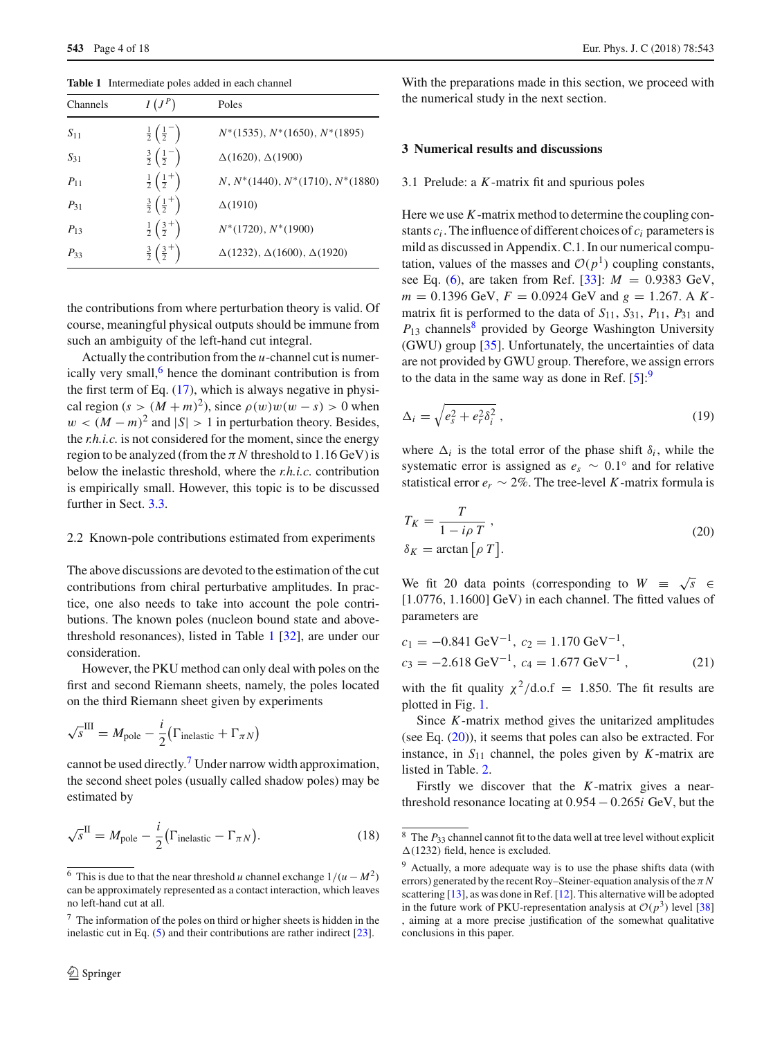| Channels | $I(J^P)$                                   | Poles                                      |
|----------|--------------------------------------------|--------------------------------------------|
| $S_{11}$ | $rac{1}{2}$ $\left(\frac{1}{2}^{-}\right)$ | $N^*(1535), N^*(1650), N^*(1895)$          |
| $S_{31}$ | $rac{3}{2}(\frac{1}{2}^{-})$               | $\Delta(1620), \Delta(1900)$               |
| $P_{11}$ | $rac{1}{2}$ $\left(\frac{1}{2}^+\right)$   | $N, N^*(1440), N^*(1710), N^*(1880)$       |
| $P_{31}$ | $rac{3}{2}(\frac{1}{2}^+)$                 | $\Delta(1910)$                             |
| $P_{13}$ | $rac{1}{2}$ $\left(\frac{3}{2}^+\right)$   | $N^*(1720), N^*(1900)$                     |
| $P_{33}$ | $rac{3}{2}(\frac{3}{2}^+)$                 | $\Delta(1232), \Delta(1600), \Delta(1920)$ |

<span id="page-3-2"></span>**Table 1** Intermediate poles added in each channel

the contributions from where perturbation theory is valid. Of course, meaningful physical outputs should be immune from such an ambiguity of the left-hand cut integral.

Actually the contribution from the *u*-channel cut is numerically very small, $<sup>6</sup>$  hence the dominant contribution is from</sup> the first term of Eq.  $(17)$ , which is always negative in physical region ( $s > (M + m)^2$ ), since  $\rho(w)w(w - s) > 0$  when  $w < (M - m)^2$  and  $|S| > 1$  in perturbation theory. Besides, the *r.h.i.c.* is not considered for the moment, since the energy region to be analyzed (from the  $\pi N$  threshold to 1.16 GeV) is below the inelastic threshold, where the *r.h.i.c.* contribution is empirically small. However, this topic is to be discussed further in Sect. [3.3.](#page-7-0)

#### 2.2 Known-pole contributions estimated from experiments

The above discussions are devoted to the estimation of the cut contributions from chiral perturbative amplitudes. In practice, one also needs to take into account the pole contributions. The known poles (nucleon bound state and abovethreshold resonances), listed in Table [1](#page-3-2) [\[32\]](#page-17-20), are under our consideration.

However, the PKU method can only deal with poles on the first and second Riemann sheets, namely, the poles located on the third Riemann sheet given by experiments

$$
\sqrt{s}^{\text{III}} = M_{\text{pole}} - \frac{i}{2} (\Gamma_{\text{inelastic}} + \Gamma_{\pi N})
$$

cannot be used directly.[7](#page-3-3) Under narrow width approximation, the second sheet poles (usually called shadow poles) may be estimated by

<span id="page-3-7"></span>
$$
\sqrt{s}^{\text{II}} = M_{\text{pole}} - \frac{i}{2} \left( \Gamma_{\text{inelastic}} - \Gamma_{\pi N} \right). \tag{18}
$$

With the preparations made in this section, we proceed with the numerical study in the next section.

#### <span id="page-3-0"></span>**3 Numerical results and discussions**

#### 3.1 Prelude: a *K*-matrix fit and spurious poles

Here we use *K*-matrix method to determine the coupling constants *ci* . The influence of different choices of *ci* parameters is mild as discussed in Appendix. C.1. In our numerical computation, values of the masses and  $\mathcal{O}(p^1)$  coupling constants, see Eq. [\(6\)](#page-1-5), are taken from Ref. [\[33\]](#page-17-21): *M* = 0.9383 GeV,  $m = 0.1396$  GeV,  $F = 0.0924$  GeV and  $g = 1.267$ . A Kmatrix fit is performed to the data of  $S_{11}$ ,  $S_{31}$ ,  $P_{11}$ ,  $P_{31}$  and  $P_{13}$  channels<sup>[8](#page-3-4)</sup> provided by George Washington University (GWU) group [\[35\]](#page-17-22). Unfortunately, the uncertainties of data are not provided by GWU group. Therefore, we assign errors to the data in the same way as done in Ref.  $[5]$ :<sup>[9](#page-3-5)</sup>

<span id="page-3-9"></span>
$$
\Delta_i = \sqrt{e_s^2 + e_r^2 \delta_i^2} \,, \tag{19}
$$

where  $\Delta_i$  is the total error of the phase shift  $\delta_i$ , while the systematic error is assigned as  $e_s \sim 0.1^\circ$  and for relative statistical error  $e_r \sim 2\%$ . The tree-level *K*-matrix formula is

<span id="page-3-6"></span>
$$
T_K = \frac{T}{1 - i\rho T},
$$
  
\n
$$
\delta_K = \arctan\left[\rho T\right].
$$
\n(20)

We fit 20 data points (corresponding to  $W = \sqrt{s} \in$ [1.0776, 1.1600] GeV) in each channel. The fitted values of parameters are

<span id="page-3-8"></span>
$$
c_1 = -0.841 \text{ GeV}^{-1}, c_2 = 1.170 \text{ GeV}^{-1},
$$
  
\n
$$
c_3 = -2.618 \text{ GeV}^{-1}, c_4 = 1.677 \text{ GeV}^{-1},
$$
\n(21)

with the fit quality  $\chi^2$ /d.o.f = 1.850. The fit results are plotted in Fig. [1.](#page-4-0)

Since *K*-matrix method gives the unitarized amplitudes (see Eq. [\(20\)](#page-3-6)), it seems that poles can also be extracted. For instance, in  $S_{11}$  channel, the poles given by *K*-matrix are listed in Table. [2.](#page-4-1)

Firstly we discover that the *K*-matrix gives a nearthreshold resonance locating at 0.954 − 0.265*i* GeV, but the

<span id="page-3-1"></span><sup>&</sup>lt;sup>6</sup> This is due to that the near threshold *u* channel exchange  $1/(u - M^2)$ can be approximately represented as a contact interaction, which leaves no left-hand cut at all.

<span id="page-3-3"></span><sup>7</sup> The information of the poles on third or higher sheets is hidden in the inelastic cut in Eq. [\(5\)](#page-1-0) and their contributions are rather indirect [\[23](#page-17-10)].

<span id="page-3-4"></span> $8 \text{ The } P_{33}$  channel cannot fit to the data well at tree level without explicit  $\Delta(1232)$  field, hence is excluded.

<span id="page-3-5"></span><sup>&</sup>lt;sup>9</sup> Actually, a more adequate way is to use the phase shifts data (with errors) generated by the recent Roy–Steiner-equation analysis of the  $\pi N$ scattering [\[13\]](#page-17-3), as was done in Ref. [\[12\]](#page-17-24). This alternative will be adopted in the future work of PKU-representation analysis at  $O(p^3)$  level [\[38](#page-17-25)] , aiming at a more precise justification of the somewhat qualitative conclusions in this paper.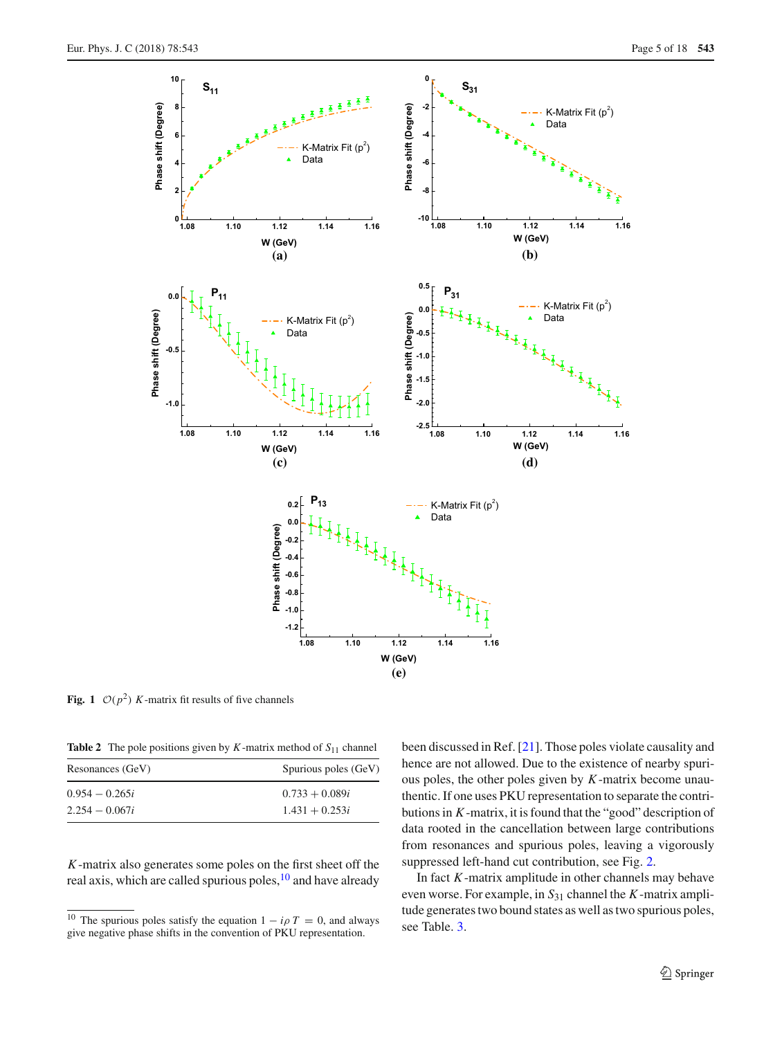

<span id="page-4-0"></span>**Fig. 1**  $\mathcal{O}(p^2)$  *K*-matrix fit results of five channels

**Table 2** The pole positions given by  $K$ -matrix method of  $S_{11}$  channel

<span id="page-4-1"></span>

| Resonances (GeV) | Spurious poles (GeV) |  |  |
|------------------|----------------------|--|--|
| $0.954 - 0.265i$ | $0.733 + 0.089i$     |  |  |
| $2.254 - 0.067i$ | $1.431 + 0.253i$     |  |  |

*K*-matrix also generates some poles on the first sheet off the real axis, which are called spurious poles, $10$  and have already been discussed in Ref. [\[21\]](#page-17-11). Those poles violate causality and hence are not allowed. Due to the existence of nearby spurious poles, the other poles given by *K*-matrix become unauthentic. If one uses PKU representation to separate the contributions in *K*-matrix, it is found that the "good" description of data rooted in the cancellation between large contributions from resonances and spurious poles, leaving a vigorously suppressed left-hand cut contribution, see Fig. [2.](#page-5-0)

In fact *K*-matrix amplitude in other channels may behave even worse. For example, in *S*<sup>31</sup> channel the *K*-matrix amplitude generates two bound states as well as two spurious poles, see Table. [3.](#page-5-1)

<span id="page-4-2"></span><sup>&</sup>lt;sup>10</sup> The spurious poles satisfy the equation  $1 - i\rho T = 0$ , and always give negative phase shifts in the convention of PKU representation.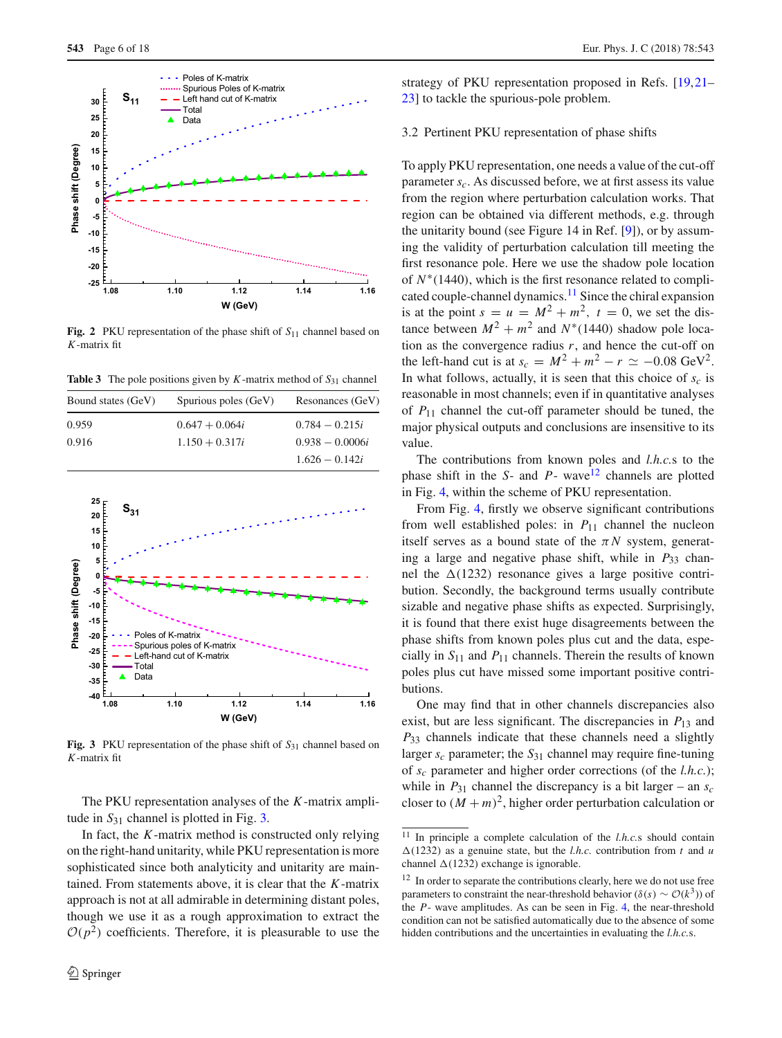

<span id="page-5-0"></span>**Fig. 2** PKU representation of the phase shift of  $S_{11}$  channel based on *K*-matrix fit

<span id="page-5-1"></span>**Table 3** The pole positions given by  $K$ -matrix method of  $S_{31}$  channel

| Bound states (GeV) | Spurious poles (GeV) | Resonances (GeV)  |
|--------------------|----------------------|-------------------|
| 0.959              | $0.647 + 0.064i$     | $0.784 - 0.215i$  |
| 0.916              | $1.150 + 0.317i$     | $0.938 - 0.0006i$ |
|                    |                      | $1.626 - 0.142i$  |



<span id="page-5-2"></span>Fig. 3 PKU representation of the phase shift of  $S_{31}$  channel based on *K*-matrix fit

The PKU representation analyses of the *K*-matrix amplitude in  $S_{31}$  channel is plotted in Fig. [3.](#page-5-2)

In fact, the *K*-matrix method is constructed only relying on the right-hand unitarity, while PKU representation is more sophisticated since both analyticity and unitarity are maintained. From statements above, it is clear that the *K*-matrix approach is not at all admirable in determining distant poles, though we use it as a rough approximation to extract the  $O(p^2)$  coefficients. Therefore, it is pleasurable to use the strategy of PKU representation proposed in Refs. [\[19](#page-17-9)[,21](#page-17-11)– [23](#page-17-10)] to tackle the spurious-pole problem.

#### <span id="page-5-5"></span>3.2 Pertinent PKU representation of phase shifts

To apply PKU representation, one needs a value of the cut-off parameter  $s_c$ . As discussed before, we at first assess its value from the region where perturbation calculation works. That region can be obtained via different methods, e.g. through the unitarity bound (see Figure 14 in Ref. [\[9](#page-17-26)]), or by assuming the validity of perturbation calculation till meeting the first resonance pole. Here we use the shadow pole location of *N*∗(1440), which is the first resonance related to complicated couple-channel dynamics[.11](#page-5-3) Since the chiral expansion is at the point  $s = u = M^2 + m^2$ ,  $t = 0$ , we set the distance between  $M^2 + m^2$  and  $N^*(1440)$  shadow pole location as the convergence radius  $r$ , and hence the cut-off on the left-hand cut is at  $s_c = M^2 + m^2 - r \simeq -0.08 \text{ GeV}^2$ . In what follows, actually, it is seen that this choice of  $s_c$  is reasonable in most channels; even if in quantitative analyses of *P*<sup>11</sup> channel the cut-off parameter should be tuned, the major physical outputs and conclusions are insensitive to its value.

The contributions from known poles and *l.h.c.*s to the phase shift in the *S*- and *P*- wave<sup>12</sup> channels are plotted in Fig. [4,](#page-6-0) within the scheme of PKU representation.

From Fig. [4,](#page-6-0) firstly we observe significant contributions from well established poles: in  $P_{11}$  channel the nucleon itself serves as a bound state of the  $\pi N$  system, generating a large and negative phase shift, while in  $P_{33}$  channel the  $\Delta(1232)$  resonance gives a large positive contribution. Secondly, the background terms usually contribute sizable and negative phase shifts as expected. Surprisingly, it is found that there exist huge disagreements between the phase shifts from known poles plus cut and the data, especially in *S*<sup>11</sup> and *P*<sup>11</sup> channels. Therein the results of known poles plus cut have missed some important positive contributions.

One may find that in other channels discrepancies also exist, but are less significant. The discrepancies in *P*<sup>13</sup> and *P*<sup>33</sup> channels indicate that these channels need a slightly larger *sc* parameter; the *S*<sup>31</sup> channel may require fine-tuning of *sc* parameter and higher order corrections (of the *l.h.c.*); while in  $P_{31}$  channel the discrepancy is a bit larger – an  $s_c$ closer to  $(M + m)^2$ , higher order perturbation calculation or

<span id="page-5-3"></span> $\overline{11}$  In principle a complete calculation of the *l.h.c.s* should contain  $\Delta(1232)$  as a genuine state, but the *l.h.c.* contribution from *t* and *u* channel  $\Delta(1232)$  exchange is ignorable.

<span id="page-5-4"></span><sup>&</sup>lt;sup>12</sup> In order to separate the contributions clearly, here we do not use free parameters to constraint the near-threshold behavior ( $\delta(s) \sim \mathcal{O}(k^3)$ ) of the *P*- wave amplitudes. As can be seen in Fig. [4,](#page-6-0) the near-threshold condition can not be satisfied automatically due to the absence of some hidden contributions and the uncertainties in evaluating the *l.h.c.*s.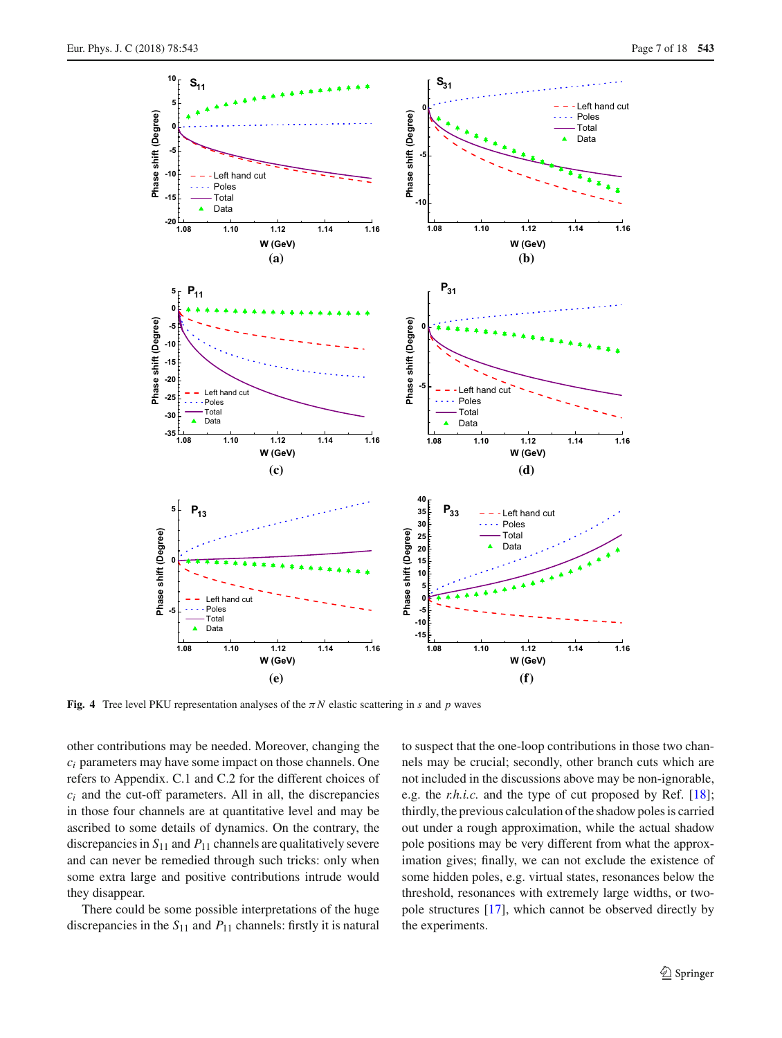

<span id="page-6-0"></span>**Fig. 4** Tree level PKU representation analyses of the  $\pi N$  elastic scattering in *s* and *p* waves

other contributions may be needed. Moreover, changing the *ci* parameters may have some impact on those channels. One refers to Appendix. C.1 and C.2 for the different choices of  $c_i$  and the cut-off parameters. All in all, the discrepancies in those four channels are at quantitative level and may be ascribed to some details of dynamics. On the contrary, the discrepancies in  $S_{11}$  and  $P_{11}$  channels are qualitatively severe and can never be remedied through such tricks: only when some extra large and positive contributions intrude would they disappear.

There could be some possible interpretations of the huge discrepancies in the *S*<sup>11</sup> and *P*<sup>11</sup> channels: firstly it is natural to suspect that the one-loop contributions in those two channels may be crucial; secondly, other branch cuts which are not included in the discussions above may be non-ignorable, e.g. the *r.h.i.c.* and the type of cut proposed by Ref. [\[18](#page-17-8)]; thirdly, the previous calculation of the shadow poles is carried out under a rough approximation, while the actual shadow pole positions may be very different from what the approximation gives; finally, we can not exclude the existence of some hidden poles, e.g. virtual states, resonances below the threshold, resonances with extremely large widths, or twopole structures [\[17\]](#page-17-7), which cannot be observed directly by the experiments.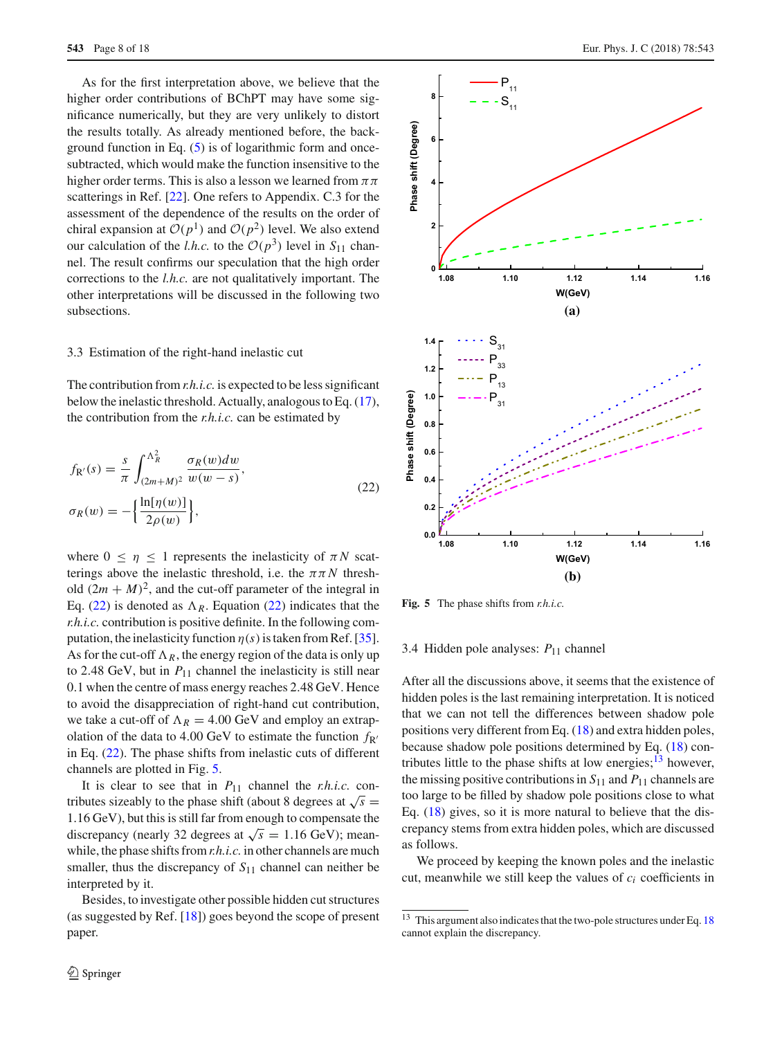As for the first interpretation above, we believe that the higher order contributions of BChPT may have some significance numerically, but they are very unlikely to distort the results totally. As already mentioned before, the background function in Eq. [\(5\)](#page-1-0) is of logarithmic form and oncesubtracted, which would make the function insensitive to the higher order terms. This is also a lesson we learned from  $\pi \pi$ scatterings in Ref. [\[22](#page-17-27)]. One refers to Appendix. C.3 for the assessment of the dependence of the results on the order of chiral expansion at  $O(p^1)$  and  $O(p^2)$  level. We also extend our calculation of the *l.h.c.* to the  $O(p^3)$  level in  $S_{11}$  channel. The result confirms our speculation that the high order corrections to the *l.h.c.* are not qualitatively important. The other interpretations will be discussed in the following two subsections.

#### <span id="page-7-0"></span>3.3 Estimation of the right-hand inelastic cut

The contribution from *r.h.i.c.* is expected to be less significant below the inelastic threshold. Actually, analogous to Eq. [\(17\)](#page-2-2), the contribution from the *r.h.i.c.* can be estimated by

$$
f_{R'}(s) = \frac{s}{\pi} \int_{(2m+M)^2}^{\Lambda_R^2} \frac{\sigma_R(w)dw}{w(w-s)},
$$
  

$$
\sigma_R(w) = -\left\{\frac{\ln[\eta(w)]}{2\rho(w)}\right\},
$$
 (22)

where  $0 \le \eta \le 1$  represents the inelasticity of  $\pi N$  scatterings above the inelastic threshold, i.e. the  $\pi \pi N$  threshold  $(2m + M)^2$ , and the cut-off parameter of the integral in Eq. [\(22\)](#page-7-1) is denoted as  $\Lambda_R$ . Equation (22) indicates that the *r.h.i.c.* contribution is positive definite. In the following computation, the inelasticity function  $\eta(s)$  is taken from Ref. [\[35](#page-17-22)]. As for the cut-off  $\Lambda_R$ , the energy region of the data is only up to 2.48 GeV, but in  $P_{11}$  channel the inelasticity is still near 0.1 when the centre of mass energy reaches 2.48 GeV. Hence to avoid the disappreciation of right-hand cut contribution, we take a cut-off of  $\Lambda_R = 4.00$  GeV and employ an extrapolation of the data to 4.00 GeV to estimate the function  $f_{R'}$ in Eq. [\(22\)](#page-7-1). The phase shifts from inelastic cuts of different channels are plotted in Fig. [5.](#page-7-2)

It is clear to see that in  $P_{11}$  channel the *r.h.i.c.* contributes sizeably to the phase shift (about 8 degrees at  $\sqrt{s}$  = 1.16 GeV), but this is still far from enough to compensate the discrepancy (nearly 32 degrees at  $\sqrt{s}$  = 1.16 GeV); meanwhile, the phase shifts from*r.h.i.c.* in other channels are much smaller, thus the discrepancy of  $S_{11}$  channel can neither be interpreted by it.

Besides, to investigate other possible hidden cut structures (as suggested by Ref. [\[18](#page-17-8)]) goes beyond the scope of present paper.



<span id="page-7-2"></span><span id="page-7-1"></span>**Fig. 5** The phase shifts from *r.h.i.c.*

## 3.4 Hidden pole analyses: *P*<sup>11</sup> channel

After all the discussions above, it seems that the existence of hidden poles is the last remaining interpretation. It is noticed that we can not tell the differences between shadow pole positions very different from Eq. [\(18\)](#page-3-7) and extra hidden poles, because shadow pole positions determined by Eq. [\(18\)](#page-3-7) contributes little to the phase shifts at low energies; $\frac{13}{13}$  however, the missing positive contributions in  $S_{11}$  and  $P_{11}$  channels are too large to be filled by shadow pole positions close to what Eq. [\(18\)](#page-3-7) gives, so it is more natural to believe that the discrepancy stems from extra hidden poles, which are discussed as follows.

We proceed by keeping the known poles and the inelastic cut, meanwhile we still keep the values of *ci* coefficients in

<span id="page-7-3"></span><sup>&</sup>lt;sup>13</sup> This argument also indicates that the two-pole structures under Eq. [18](#page-3-7) cannot explain the discrepancy.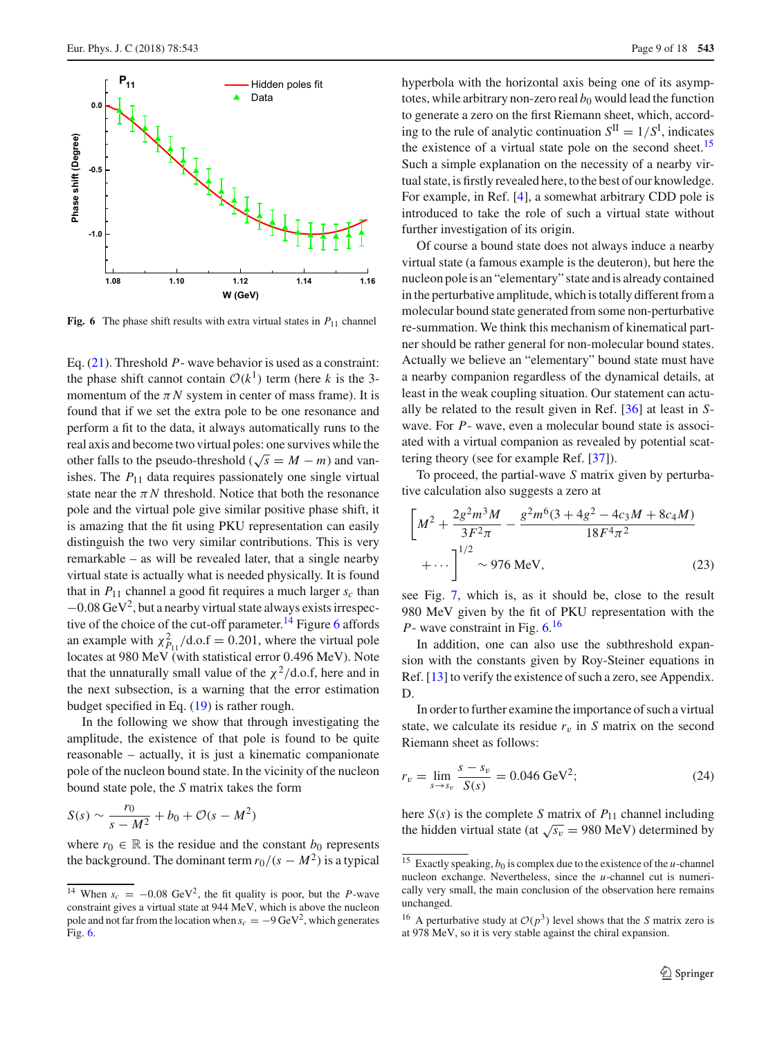

<span id="page-8-1"></span>**Fig. 6** The phase shift results with extra virtual states in  $P_{11}$  channel

Eq. [\(21\)](#page-3-8). Threshold *P*- wave behavior is used as a constraint: the phase shift cannot contain  $O(k^1)$  term (here *k* is the 3momentum of the  $\pi N$  system in center of mass frame). It is found that if we set the extra pole to be one resonance and perform a fit to the data, it always automatically runs to the real axis and become two virtual poles: one survives while the other falls to the pseudo-threshold ( $\sqrt{s} = M - m$ ) and vanishes. The  $P_{11}$  data requires passionately one single virtual state near the  $\pi N$  threshold. Notice that both the resonance pole and the virtual pole give similar positive phase shift, it is amazing that the fit using PKU representation can easily distinguish the two very similar contributions. This is very remarkable – as will be revealed later, that a single nearby virtual state is actually what is needed physically. It is found that in  $P_{11}$  channel a good fit requires a much larger  $s_c$  than  $-0.08$  GeV<sup>2</sup>, but a nearby virtual state always exists irrespec-tive of the choice of the cut-off parameter.<sup>[14](#page-8-0)</sup> Figure [6](#page-8-1) affords an example with  $\chi^2_{P_{11}}/$ d.o.f = 0.201, where the virtual pole locates at 980 MeV (with statistical error 0.496 MeV). Note that the unnaturally small value of the  $\chi^2$ /d.o.f, here and in the next subsection, is a warning that the error estimation budget specified in Eq. [\(19\)](#page-3-9) is rather rough.

In the following we show that through investigating the amplitude, the existence of that pole is found to be quite reasonable – actually, it is just a kinematic companionate pole of the nucleon bound state. In the vicinity of the nucleon bound state pole, the *S* matrix takes the form

$$
S(s) \sim \frac{r_0}{s - M^2} + b_0 + \mathcal{O}(s - M^2)
$$

where  $r_0 \in \mathbb{R}$  is the residue and the constant  $b_0$  represents the background. The dominant term  $r_0/(s-M^2)$  is a typical

hyperbola with the horizontal axis being one of its asymptotes, while arbitrary non-zero real  $b_0$  would lead the function to generate a zero on the first Riemann sheet, which, according to the rule of analytic continuation  $S^{\text{II}} = 1/S^{\text{I}}$ , indicates the existence of a virtual state pole on the second sheet.<sup>[15](#page-8-2)</sup> Such a simple explanation on the necessity of a nearby virtual state, is firstly revealed here, to the best of our knowledge. For example, in Ref. [\[4](#page-17-28)], a somewhat arbitrary CDD pole is introduced to take the role of such a virtual state without further investigation of its origin.

Of course a bound state does not always induce a nearby virtual state (a famous example is the deuteron), but here the nucleon pole is an "elementary" state and is already contained in the perturbative amplitude, which is totally different from a molecular bound state generated from some non-perturbative re-summation. We think this mechanism of kinematical partner should be rather general for non-molecular bound states. Actually we believe an "elementary" bound state must have a nearby companion regardless of the dynamical details, at least in the weak coupling situation. Our statement can actually be related to the result given in Ref. [\[36](#page-17-29)] at least in *S*wave. For *P*- wave, even a molecular bound state is associated with a virtual companion as revealed by potential scattering theory (see for example Ref. [\[37](#page-17-30)]).

To proceed, the partial-wave *S* matrix given by perturbative calculation also suggests a zero at

$$
\left[M^2 + \frac{2g^2m^3M}{3F^2\pi} - \frac{g^2m^6(3+4g^2-4c_3M+8c_4M)}{18F^4\pi^2} + \cdots\right]^{1/2} \sim 976 \text{ MeV},\tag{23}
$$

see Fig. [7,](#page-9-0) which is, as it should be, close to the result 980 MeV given by the fit of PKU representation with the *P*- wave constraint in Fig.  $6^{16}$  $6^{16}$  $6^{16}$ 

In addition, one can also use the subthreshold expansion with the constants given by Roy-Steiner equations in Ref. [\[13](#page-17-3)] to verify the existence of such a zero, see Appendix. D.

In order to further examine the importance of such a virtual state, we calculate its residue  $r_v$  in *S* matrix on the second Riemann sheet as follows:

<span id="page-8-4"></span>
$$
r_v = \lim_{s \to s_v} \frac{s - s_v}{S(s)} = 0.046 \text{ GeV}^2; \tag{24}
$$

here  $S(s)$  is the complete *S* matrix of  $P_{11}$  channel including the hidden virtual state (at  $\sqrt{s_v}$  = 980 MeV) determined by

<span id="page-8-0"></span><sup>&</sup>lt;sup>14</sup> When  $s_c = -0.08 \text{ GeV}^2$ , the fit quality is poor, but the *P*-wave constraint gives a virtual state at 944 MeV, which is above the nucleon pole and not far from the location when  $s_c = -9 \text{ GeV}^2$ , which generates Fig. [6.](#page-8-1)

<span id="page-8-2"></span><sup>&</sup>lt;sup>15</sup> Exactly speaking,  $b_0$  is complex due to the existence of the *u*-channel nucleon exchange. Nevertheless, since the *u*-channel cut is numerically very small, the main conclusion of the observation here remains unchanged.

<span id="page-8-3"></span><sup>&</sup>lt;sup>16</sup> A perturbative study at  $O(p^3)$  level shows that the *S* matrix zero is at 978 MeV, so it is very stable against the chiral expansion.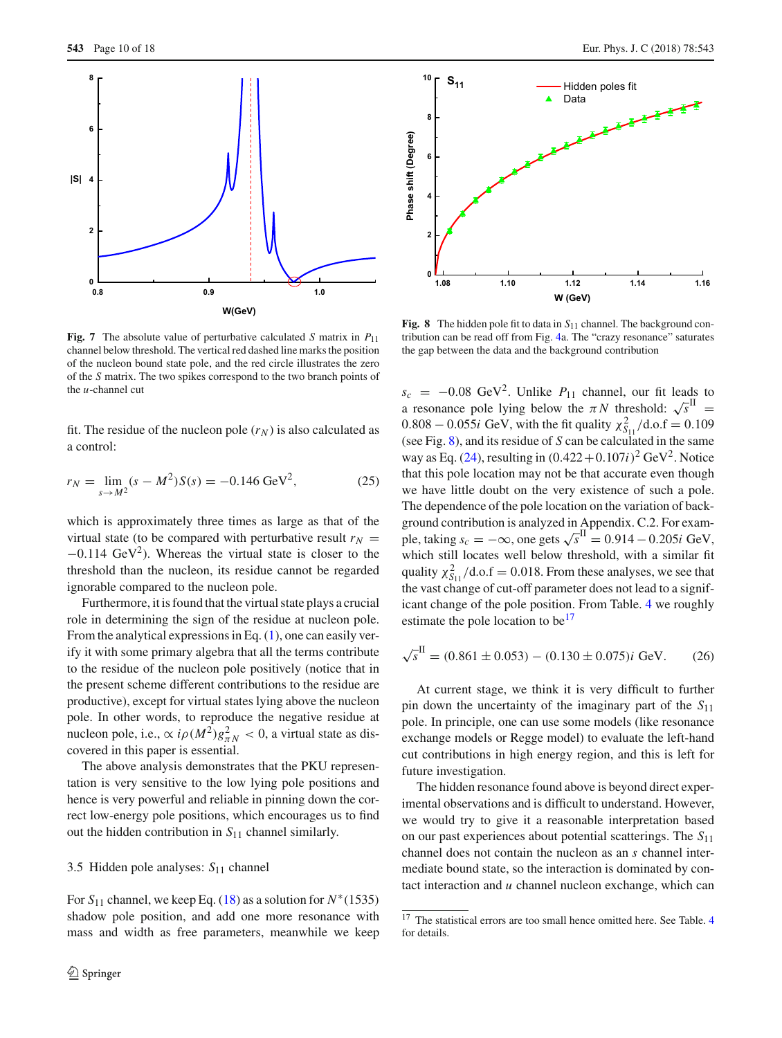

<span id="page-9-0"></span>**Fig. 7** The absolute value of perturbative calculated *S* matrix in  $P_{11}$ channel below threshold. The vertical red dashed line marks the position of the nucleon bound state pole, and the red circle illustrates the zero of the *S* matrix. The two spikes correspond to the two branch points of the *u*-channel cut

fit. The residue of the nucleon pole  $(r_N)$  is also calculated as a control:

$$
r_N = \lim_{s \to M^2} (s - M^2) S(s) = -0.146 \text{ GeV}^2,
$$
 (25)

which is approximately three times as large as that of the virtual state (to be compared with perturbative result  $r_N =$  $-0.114 \text{ GeV}^2$ ). Whereas the virtual state is closer to the threshold than the nucleon, its residue cannot be regarded ignorable compared to the nucleon pole.

Furthermore, it is found that the virtual state plays a crucial role in determining the sign of the residue at nucleon pole. From the analytical expressions in Eq. [\(1\)](#page-0-2), one can easily verify it with some primary algebra that all the terms contribute to the residue of the nucleon pole positively (notice that in the present scheme different contributions to the residue are productive), except for virtual states lying above the nucleon pole. In other words, to reproduce the negative residue at nucleon pole, i.e.,  $\propto i \rho(M^2) g_{\pi N}^2 < 0$ , a virtual state as discovered in this paper is essential.

The above analysis demonstrates that the PKU representation is very sensitive to the low lying pole positions and hence is very powerful and reliable in pinning down the correct low-energy pole positions, which encourages us to find out the hidden contribution in *S*<sup>11</sup> channel similarly.

#### 3.5 Hidden pole analyses: *S*<sup>11</sup> channel

For  $S_{11}$  channel, we keep Eq. [\(18\)](#page-3-7) as a solution for  $N^*(1535)$ shadow pole position, and add one more resonance with mass and width as free parameters, meanwhile we keep



<span id="page-9-1"></span>**Fig. 8** The hidden pole fit to data in *S*<sup>11</sup> channel. The background contribution can be read off from Fig. [4a](#page-6-0). The "crazy resonance" saturates the gap between the data and the background contribution

 $s_c$  = −0.08 GeV<sup>2</sup>. Unlike  $P_{11}$  channel, our fit leads to a resonance pole lying below the  $\pi N$  threshold:  $\sqrt{s}^{\text{II}}$  =  $0.808 - 0.055i$  GeV, with the fit quality  $\chi^2_{S_{11}}/d.o.f = 0.109$ (see Fig. [8\)](#page-9-1), and its residue of *S* can be calculated in the same way as Eq. [\(24\)](#page-8-4), resulting in  $(0.422+0.107i)^2$  GeV<sup>2</sup>. Notice that this pole location may not be that accurate even though we have little doubt on the very existence of such a pole. The dependence of the pole location on the variation of background contribution is analyzed in Appendix. C.2. For example, taking  $s_c = -\infty$ , one gets  $\sqrt{s}^{\text{II}} = 0.914 - 0.205i \text{ GeV}$ , which still locates well below threshold, with a similar fit quality  $\chi^2_{S11}/\text{d.o.f} = 0.018$ . From these analyses, we see that the vast change of cut-off parameter does not lead to a significant change of the pole position. From Table. [4](#page-15-0) we roughly estimate the pole location to be<sup>17</sup>

<span id="page-9-3"></span>
$$
\sqrt{s}^{\text{II}} = (0.861 \pm 0.053) - (0.130 \pm 0.075)i \text{ GeV.}
$$
 (26)

At current stage, we think it is very difficult to further pin down the uncertainty of the imaginary part of the *S*<sup>11</sup> pole. In principle, one can use some models (like resonance exchange models or Regge model) to evaluate the left-hand cut contributions in high energy region, and this is left for future investigation.

The hidden resonance found above is beyond direct experimental observations and is difficult to understand. However, we would try to give it a reasonable interpretation based on our past experiences about potential scatterings. The *S*<sup>11</sup> channel does not contain the nucleon as an *s* channel intermediate bound state, so the interaction is dominated by contact interaction and *u* channel nucleon exchange, which can

<span id="page-9-2"></span><sup>&</sup>lt;sup>17</sup> The statistical errors are too small hence omitted here. See Table. [4](#page-15-0) for details.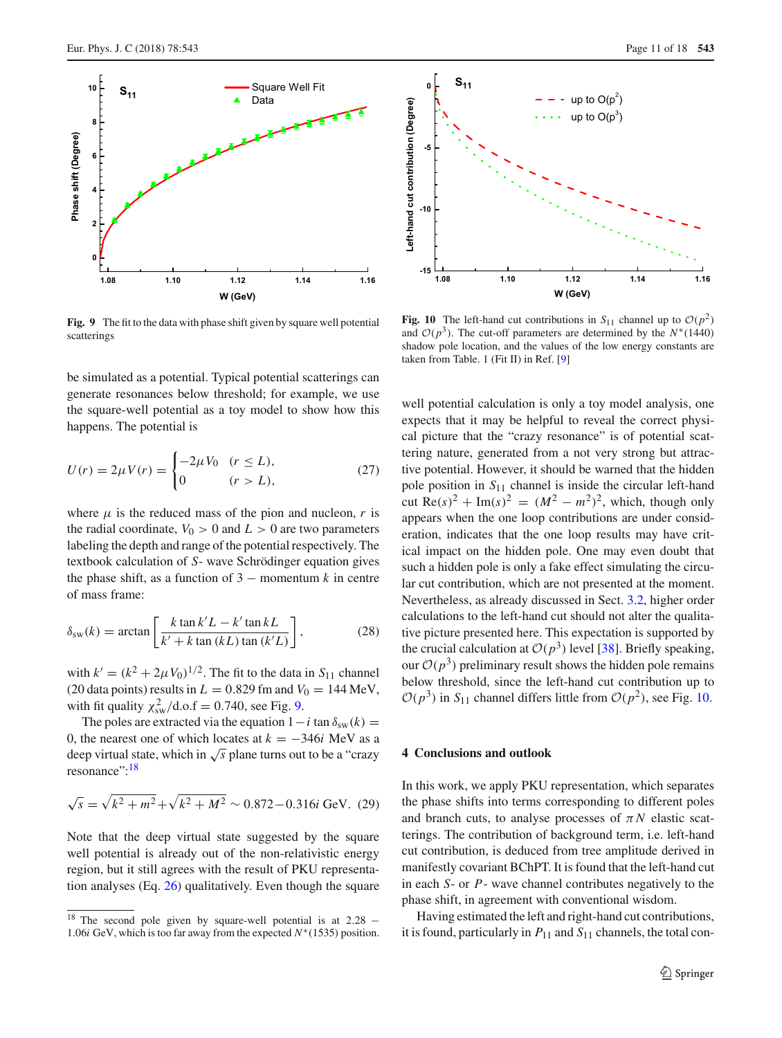

<span id="page-10-1"></span>**Fig. 9** The fit to the data with phase shift given by square well potential scatterings

be simulated as a potential. Typical potential scatterings can generate resonances below threshold; for example, we use the square-well potential as a toy model to show how this happens. The potential is

$$
U(r) = 2\mu V(r) = \begin{cases} -2\mu V_0 & (r \le L), \\ 0 & (r > L), \end{cases}
$$
 (27)

where  $\mu$  is the reduced mass of the pion and nucleon,  $r$  is the radial coordinate,  $V_0 > 0$  and  $L > 0$  are two parameters labeling the depth and range of the potential respectively. The textbook calculation of *S*- wave Schrödinger equation gives the phase shift, as a function of  $3$  – momentum  $k$  in centre of mass frame:

$$
\delta_{\rm sw}(k) = \arctan\left[\frac{k \tan k'L - k' \tan kL}{k' + k \tan (kL) \tan (k'L)}\right],\tag{28}
$$

with  $k' = (k^2 + 2\mu V_0)^{1/2}$ . The fit to the data in  $S_{11}$  channel (20 data points) results in  $L = 0.829$  fm and  $V_0 = 144$  MeV, with fit quality  $\chi_{sw}^2 / d.o.f = 0.740$ , see Fig. [9.](#page-10-1)

The poles are extracted via the equation  $1-i$  tan  $\delta_{sw}(k) =$ 0, the nearest one of which locates at  $k = -346i$  MeV as a deep virtual state, which in  $\sqrt{s}$  plane turns out to be a "crazy" resonance": <sup>[18](#page-10-2)</sup>

$$
\sqrt{s} = \sqrt{k^2 + m^2} + \sqrt{k^2 + M^2} \sim 0.872 - 0.316i \text{ GeV}.
$$
 (29)

Note that the deep virtual state suggested by the square well potential is already out of the non-relativistic energy region, but it still agrees with the result of PKU representation analyses (Eq. [26\)](#page-9-3) qualitatively. Even though the square



<span id="page-10-3"></span>**Fig. 10** The left-hand cut contributions in  $S_{11}$  channel up to  $O(p^2)$ and  $\mathcal{O}(p^3)$ . The cut-off parameters are determined by the *N*<sup>\*</sup>(1440) shadow pole location, and the values of the low energy constants are taken from Table. 1 (Fit II) in Ref. [\[9](#page-17-26)]

well potential calculation is only a toy model analysis, one expects that it may be helpful to reveal the correct physical picture that the "crazy resonance" is of potential scattering nature, generated from a not very strong but attractive potential. However, it should be warned that the hidden pole position in *S*<sup>11</sup> channel is inside the circular left-hand cut Re( $s$ )<sup>2</sup> + Im( $s$ )<sup>2</sup> = ( $M^2 - m^2$ )<sup>2</sup>, which, though only appears when the one loop contributions are under consideration, indicates that the one loop results may have critical impact on the hidden pole. One may even doubt that such a hidden pole is only a fake effect simulating the circular cut contribution, which are not presented at the moment. Nevertheless, as already discussed in Sect. [3.2,](#page-5-5) higher order calculations to the left-hand cut should not alter the qualitative picture presented here. This expectation is supported by the crucial calculation at  $O(p^3)$  level [\[38](#page-17-25)]. Briefly speaking, our  $O(p^3)$  preliminary result shows the hidden pole remains below threshold, since the left-hand cut contribution up to  $O(p^3)$  in *S*<sub>11</sub> channel differs little from  $O(p^2)$ , see Fig. [10.](#page-10-3)

#### <span id="page-10-0"></span>**4 Conclusions and outlook**

In this work, we apply PKU representation, which separates the phase shifts into terms corresponding to different poles and branch cuts, to analyse processes of  $\pi N$  elastic scatterings. The contribution of background term, i.e. left-hand cut contribution, is deduced from tree amplitude derived in manifestly covariant BChPT. It is found that the left-hand cut in each *S*- or *P*- wave channel contributes negatively to the phase shift, in agreement with conventional wisdom.

Having estimated the left and right-hand cut contributions, it is found, particularly in  $P_{11}$  and  $S_{11}$  channels, the total con-

<span id="page-10-2"></span><sup>&</sup>lt;sup>18</sup> The second pole given by square-well potential is at  $2.28 -$ 1.06*i* GeV, which is too far away from the expected  $N^*(1535)$  position.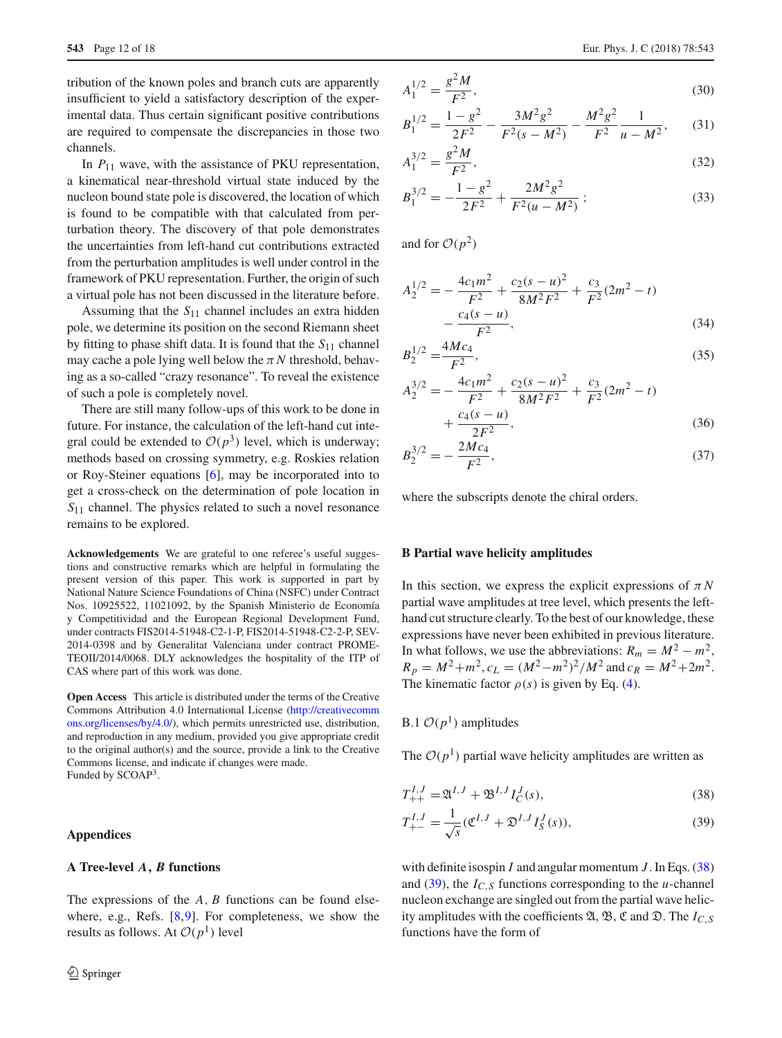tribution of the known poles and branch cuts are apparently insufficient to yield a satisfactory description of the experimental data. Thus certain significant positive contributions are required to compensate the discrepancies in those two channels.

In  $P_{11}$  wave, with the assistance of PKU representation, a kinematical near-threshold virtual state induced by the nucleon bound state pole is discovered, the location of which is found to be compatible with that calculated from perturbation theory. The discovery of that pole demonstrates the uncertainties from left-hand cut contributions extracted from the perturbation amplitudes is well under control in the framework of PKU representation. Further, the origin of such a virtual pole has not been discussed in the literature before.

Assuming that the *S*<sup>11</sup> channel includes an extra hidden pole, we determine its position on the second Riemann sheet by fitting to phase shift data. It is found that the *S*<sup>11</sup> channel may cache a pole lying well below the  $\pi N$  threshold, behaving as a so-called "crazy resonance". To reveal the existence of such a pole is completely novel.

There are still many follow-ups of this work to be done in future. For instance, the calculation of the left-hand cut integral could be extended to  $O(p^3)$  level, which is underway; methods based on crossing symmetry, e.g. Roskies relation or Roy-Steiner equations [\[6\]](#page-17-31), may be incorporated into to get a cross-check on the determination of pole location in *S*<sup>11</sup> channel. The physics related to such a novel resonance remains to be explored.

**Acknowledgements** We are grateful to one referee's useful suggestions and constructive remarks which are helpful in formulating the present version of this paper. This work is supported in part by National Nature Science Foundations of China (NSFC) under Contract Nos. 10925522, 11021092, by the Spanish Ministerio de Economía y Competitividad and the European Regional Development Fund, under contracts FIS2014-51948-C2-1-P, FIS2014-51948-C2-2-P, SEV-2014-0398 and by Generalitat Valenciana under contract PROME-TEOII/2014/0068. DLY acknowledges the hospitality of the ITP of CAS where part of this work was done.

**Open Access** This article is distributed under the terms of the Creative Commons Attribution 4.0 International License [\(http://creativecomm](http://creativecommons.org/licenses/by/4.0/) [ons.org/licenses/by/4.0/\)](http://creativecommons.org/licenses/by/4.0/), which permits unrestricted use, distribution, and reproduction in any medium, provided you give appropriate credit to the original author(s) and the source, provide a link to the Creative Commons license, and indicate if changes were made. Funded by SCOAP<sup>3</sup>.

#### **Appendices**

#### **A Tree-level** *A, B* **functions**

The expressions of the *A*, *B* functions can be found elsewhere, e.g., Refs. [\[8,](#page-17-32)[9\]](#page-17-26). For completeness, we show the results as follows. At  $\mathcal{O}(p^1)$  level

$$
A_1^{1/2} = \frac{g^2 M}{F^2},\tag{30}
$$

$$
B_1^{1/2} = \frac{1 - g^2}{2F^2} - \frac{3M^2g^2}{F^2(s - M^2)} - \frac{M^2g^2}{F^2} \frac{1}{u - M^2},\qquad(31)
$$

$$
A_1^{3/2} = \frac{g^2 M}{F^2},\tag{32}
$$

$$
B_1^{3/2} = -\frac{1 - g^2}{2F^2} + \frac{2M^2g^2}{F^2(u - M^2)}; \qquad (33)
$$

and for  $O(p^2)$ 

$$
A_2^{1/2} = -\frac{4c_1m^2}{F^2} + \frac{c_2(s-u)^2}{8M^2F^2} + \frac{c_3}{F^2}(2m^2 - t)
$$
  
 
$$
-\frac{c_4(s-u)}{F^2},
$$
 (34)

$$
B_2^{1/2} = \frac{4Mc_4}{F^2},\tag{35}
$$

$$
A_2^{3/2} = -\frac{4c_1m^2}{F^2} + \frac{c_2(s-u)^2}{8M^2F^2} + \frac{c_3}{F^2}(2m^2 - t) + \frac{c_4(s-u)}{2F^2},
$$
\n(36)

$$
B_2^{3/2} = -\frac{2Mc_4}{F^2},\tag{37}
$$

where the subscripts denote the chiral orders.

#### **B Partial wave helicity amplitudes**

In this section, we express the explicit expressions of  $\pi N$ partial wave amplitudes at tree level, which presents the lefthand cut structure clearly. To the best of our knowledge, these expressions have never been exhibited in previous literature. In what follows, we use the abbreviations:  $R_m = M^2 - m^2$ ,  $R_p = M^2 + m^2$ ,  $c_L = (M^2 - m^2)^2/M^2$  and  $c_R = M^2 + 2m^2$ . The kinematic factor  $\rho(s)$  is given by Eq. [\(4\)](#page-0-3).

## B.1  $O(p^1)$  amplitudes

The  $O(p<sup>1</sup>)$  partial wave helicity amplitudes are written as

<span id="page-11-0"></span>
$$
T_{++}^{I,J} = \mathfrak{A}^{I,J} + \mathfrak{B}^{I,J} I_C^J(s),\tag{38}
$$

<span id="page-11-1"></span>
$$
T_{+-}^{I,J} = \frac{1}{\sqrt{s}} (\mathfrak{C}^{I,J} + \mathfrak{D}^{I,J} I_S^J(s)),
$$
\n(39)

with definite isospin *I* and angular momentum *J* . In Eqs. [\(38\)](#page-11-0) and  $(39)$ , the  $I_{C,S}$  functions corresponding to the *u*-channel nucleon exchange are singled out from the partial wave helicity amplitudes with the coefficients  $\mathfrak{A}, \mathfrak{B}, \mathfrak{C}$  and  $\mathfrak{D}$ . The *I<sub>C, S</sub>* functions have the form of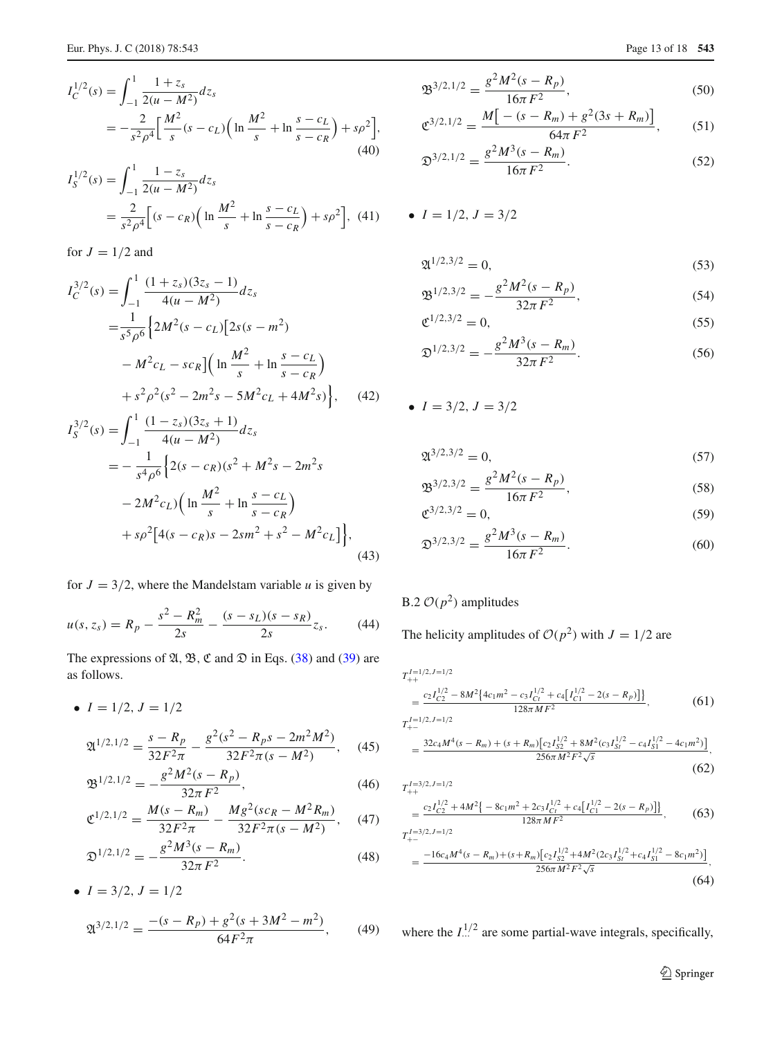$$
I_C^{1/2}(s) = \int_{-1}^1 \frac{1+z_s}{2(u-M^2)} dz_s
$$
  
=  $-\frac{2}{s^2 \rho^4} \Big[ \frac{M^2}{s} (s - c_L) \Big( \ln \frac{M^2}{s} + \ln \frac{s - c_L}{s - c_R} \Big) + s \rho^2 \Big],$  (40)

$$
I_S^{1/2}(s) = \int_{-1}^1 \frac{1 - z_s}{2(u - M^2)} dz_s
$$
  
= 
$$
\frac{2}{s^2 \rho^4} \Big[ (s - c_R) \Big( \ln \frac{M^2}{s} + \ln \frac{s - c_L}{s - c_R} \Big) + s \rho^2 \Big], \quad (41)
$$

for  $J = 1/2$  and

$$
I_C^{3/2}(s) = \int_{-1}^{1} \frac{(1+z_s)(3z_s - 1)}{4(u - M^2)} dz_s
$$
  
=  $\frac{1}{s^5 \rho^6} \Big\{ 2M^2 (s - c_L) [2s(s - m^2) - M^2 c_L - s c_R] \Big( \ln \frac{M^2}{s} + \ln \frac{s - c_L}{s - c_R} \Big) + s^2 \rho^2 (s^2 - 2m^2 s - 5M^2 c_L + 4M^2 s) \Big\},$  (42)  
 $I^{3/2}(s) = \int_{-1}^{1} \frac{(1-z_s)(3z_s + 1)}{4\pi} d\tau$ 

$$
I_{S}^{3/2}(s) = \int_{-1}^{\infty} \frac{(1 - 2s)(32s + 1)}{4(u - M^2)} dz_s
$$
  
=  $-\frac{1}{s^4 \rho^6} \Big{2(s - c_R)(s^2 + M^2 s - 2m^2 s - 2M^2 c_L) \Big( \ln \frac{M^2}{s} + \ln \frac{s - c_L}{s - c_R} \Big) + s\rho^2 \Big[ 4(s - c_R)s - 2sm^2 + s^2 - M^2 c_L \Big] \Big},$ (43)

for  $J = 3/2$ , where the Mandelstam variable *u* is given by

$$
u(s, z_s) = R_p - \frac{s^2 - R_m^2}{2s} - \frac{(s - s_L)(s - s_R)}{2s}z_s.
$$
 (44)

The expressions of  $\mathfrak{A}, \mathfrak{B}, \mathfrak{C}$  and  $\mathfrak{D}$  in Eqs. [\(38\)](#page-11-0) and [\(39\)](#page-11-1) are as follows.

• 
$$
I = 1/2, J = 1/2
$$
  
 $P = \frac{R}{2(2 - R)^2} = 2\pi^2 M^2$ 

$$
\mathfrak{A}^{1/2,1/2} = \frac{s - R_p}{32F^2\pi} - \frac{g^2(s^2 - R_ps - 2m^2M^2)}{32F^2\pi(s - M^2)},\tag{45}
$$

$$
\mathfrak{B}^{1/2,1/2} = -\frac{g^2 M^2 (s - R_p)}{32\pi F^2},\tag{46}
$$

$$
\mathfrak{C}^{1/2,1/2} = \frac{M(s - R_m)}{32F^2\pi} - \frac{Mg^2(sc_R - M^2R_m)}{32F^2\pi(s - M^2)},\tag{47}
$$

$$
\mathfrak{D}^{1/2,1/2} = -\frac{g^2 M^3 (s - R_m)}{32\pi F^2}.
$$
\n(48)

• 
$$
I = 3/2, J = 1/2
$$
  

$$
\mathfrak{A}^{3/2,1/2} = \frac{-(s - R_p) + g^2(s + 3M^2 - m^2)}{64F^2\pi}, \qquad (49)
$$

$$
\mathfrak{B}^{3/2,1/2} = \frac{g^2 M^2 (s - R_p)}{16\pi F^2},\tag{50}
$$

$$
\mathfrak{C}^{3/2,1/2} = \frac{M\big[-(s - R_m) + g^2(3s + R_m)\big]}{64\pi F^2},\tag{51}
$$

$$
\mathfrak{D}^{3/2,1/2} = \frac{g^2 M^3 (s - R_m)}{16\pi F^2}.
$$
\n(52)

• 
$$
I = 1/2, J = 3/2
$$

$$
\mathfrak{A}^{1/2,3/2} = 0,\tag{53}
$$

$$
\mathfrak{B}^{1/2,3/2} = -\frac{g^2 M^2 (s - R_p)}{32\pi F^2},\tag{54}
$$

$$
\mathfrak{C}^{1/2,3/2} = 0,\tag{55}
$$

$$
\mathfrak{D}^{1/2,3/2} = -\frac{g^2 M^3 (s - R_m)}{32\pi F^2}.
$$
\n(56)

• 
$$
I = 3/2, J = 3/2
$$

$$
\mathfrak{A}^{3/2,3/2} = 0,\tag{57}
$$

$$
\mathfrak{B}^{3/2,3/2} = \frac{g^2 M^2 (s - R_p)}{16\pi F^2},\tag{58}
$$

$$
\mathfrak{C}^{3/2,3/2} = 0,\tag{59}
$$

$$
\mathfrak{D}^{3/2,3/2} = \frac{g^2 M^3 (s - R_m)}{16\pi F^2}.
$$
\n(60)

## B.2  $\mathcal{O}(p^2)$  amplitudes

The helicity amplitudes of  $O(p^2)$  with  $J = 1/2$  are

$$
T_{++}^{I=1/2,J=1/2}
$$
  
= 
$$
\frac{c_2 I_{C2}^{1/2} - 8M^2 \{4c_1m^2 - c_3I_{C_I}^{1/2} + c_4[I_{C_1}^{1/2} - 2(s - R_p)]\}}{128\pi M F^2}
$$
, (61)

 $T^{I=1/2,J=1/2}_{+-}$ 

$$
=\frac{32c_4M^4(s-R_m)+(s+R_m)\left[c_2I_{S2}^{1/2}+8M^2(c_3I_{S1}^{1/2}-c_4I_{S1}^{1/2}-4c_1m^2)\right]}{256\pi M^2F^2\sqrt{s}},\tag{62}
$$

$$
T_{++}^{I=3/2,J=1/2}\,
$$

$$
=\frac{c_2I_{C2}^{1/2}+4M^2\{-8c_1m^2+2c_3I_{C1}^{1/2}+c_4[I_{C1}^{1/2}-2(s-R_p)]\}}{128\pi M F^2},\qquad(63)
$$

$$
T_{+-}^{I=3/2,J=1/2}
$$
  
= 
$$
\frac{-16c_4M^4(s - R_m) + (s + R_m)[c_2I_{S2}^{1/2} + 4M^2(2c_3I_{S1}^{1/2} + c_4I_{S1}^{1/2} - 8c_1m^2)]}{256\pi M^2F^2\sqrt{s}}
$$
 (64)

where the  $I_{\cdots}^{1/2}$  are some partial-wave integrals, specifically,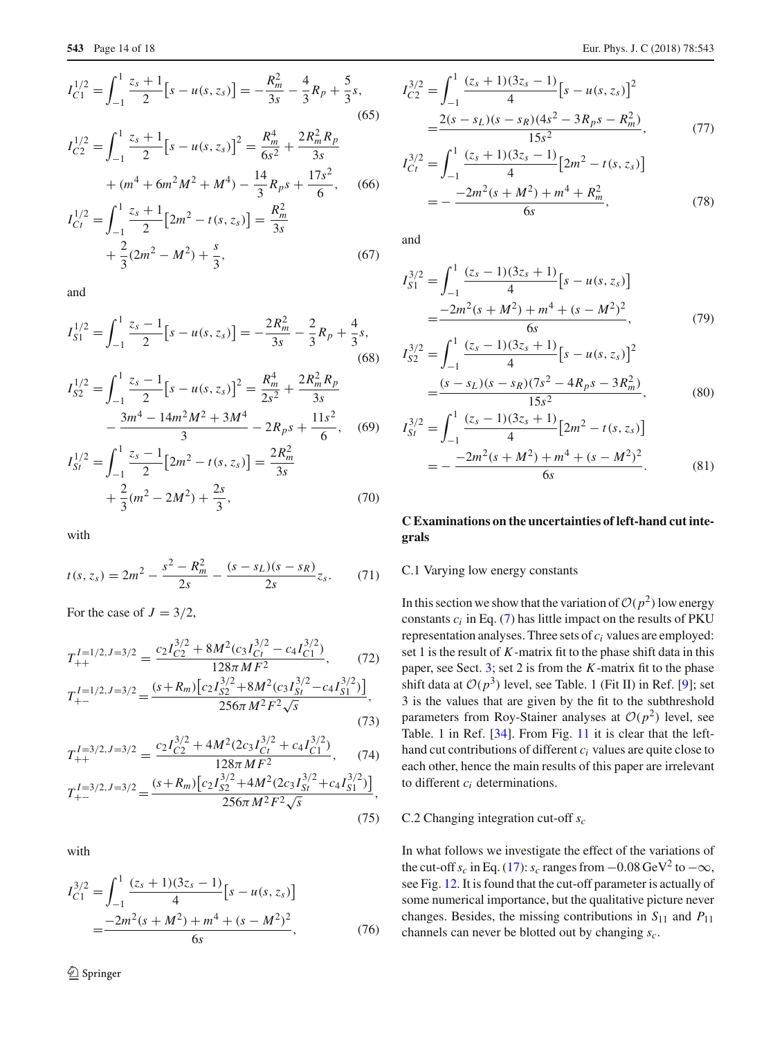$$
I_{C1}^{1/2} = \int_{-1}^{1} \frac{z_s + 1}{2} [s - u(s, z_s)] = -\frac{R_m^2}{3s} - \frac{4}{3} R_p + \frac{5}{3} s,
$$
  
\n(65)  
\n
$$
I_{C2}^{1/2} = \int_{-1}^{1} \frac{z_s + 1}{2} [s - u(s, z_s)]^2 = \frac{R_m^4}{6s^2} + \frac{2R_m^2 R_p}{3s} + (m^4 + 6m^2M^2 + M^4) - \frac{14}{3} R_p s + \frac{17s^2}{6},
$$
  
\n(66)  
\n
$$
I_{Ct}^{1/2} = \int_{-1}^{1} \frac{z_s + 1}{2} [2m^2 - t(s, z_s)] = \frac{R_m^2}{3s}
$$

and

 $^{+}$ 2

 $\frac{2}{3}(2m^2 - M^2) + \frac{s}{3}$ 

$$
I_{S1}^{1/2} = \int_{-1}^{1} \frac{z_s - 1}{2} \left[ s - u(s, z_s) \right] = -\frac{2R_m^2}{3s} - \frac{2}{3}R_p + \frac{4}{3}s,\tag{68}
$$

3

$$
I_{S2}^{1/2} = \int_{-1}^{1} \frac{z_s - 1}{2} \left[ s - u(s, z_s) \right]^2 = \frac{R_m^4}{2s^2} + \frac{2R_m^2 R_p}{3s}
$$

$$
- \frac{3m^4 - 14m^2 M^2 + 3M^4}{3} - 2R_p s + \frac{11s^2}{6}, \quad (69)
$$

$$
I_{St}^{1/2} = \int_{-1}^{1} \frac{z_s - 1}{2} \left[ 2m^2 - t(s, z_s) \right] = \frac{2R_m^2}{3s}
$$

$$
+ \frac{2}{3} (m^2 - 2M^2) + \frac{2s}{3}, \quad (70)
$$

with

$$
t(s, z_s) = 2m^2 - \frac{s^2 - R_m^2}{2s} - \frac{(s - s_L)(s - s_R)}{2s}z_s.
$$
 (71)

For the case of  $J = 3/2$ ,

$$
T_{++}^{I=1/2, J=3/2} = \frac{c_2 I_{C2}^{3/2} + 8M^2(c_3 I_{C1}^{3/2} - c_4 I_{C1}^{3/2})}{128\pi M F^2},
$$
(72)  

$$
T_{+-}^{I=1/2, J=3/2} = \frac{(s + R_m) [c_2 I_{S2}^{3/2} + 8M^2(c_3 I_{S1}^{3/2} - c_4 I_{S1}^{3/2})]}{256\pi M^2 F^2 \sqrt{s}},
$$
(73)

$$
T_{++}^{I=3/2,J=3/2} = \frac{c_2 I_{C2}^{3/2} + 4M^2 (2c_3 I_{C1}^{3/2} + c_4 I_{C1}^{3/2})}{128\pi M F^2},\tag{74}
$$

$$
T_{+-}^{I=3/2,J=3/2} = \frac{(s+R_m)\left[c_2 I_{S2}^{3/2} + 4M^2 (2c_3 I_{St}^{3/2} + c_4 I_{S1}^{3/2})\right]}{256\pi M^2 F^2 \sqrt{s}},\tag{75}
$$

with

$$
I_{C1}^{3/2} = \int_{-1}^{1} \frac{(z_s + 1)(3z_s - 1)}{4} [s - u(s, z_s)]
$$
  
= 
$$
\frac{-2m^2(s + M^2) + m^4 + (s - M^2)^2}{6s},
$$
(76)

$$
I_{C2}^{3/2} = \int_{-1}^{1} \frac{(z_s + 1)(3z_s - 1)}{4} [s - u(s, z_s)]^2
$$
  
= 
$$
\frac{2(s - s_L)(s - s_R)(4s^2 - 3R_ps - R_m^2)}{15s^2},
$$
(77)

$$
I_{Ct}^{3/2} = \int_{-1}^{1} \frac{(z_s + 1)(3z_s - 1)}{4} [2m^2 - t(s, z_s)]
$$
  
= 
$$
-\frac{-2m^2(s + M^2) + m^4 + R_m^2}{6s},
$$
(78)

and

 $(67)$ 

$$
I_{S1}^{3/2} = \int_{-1}^{1} \frac{(z_s - 1)(3z_s + 1)}{4} [s - u(s, z_s)]
$$
  
= 
$$
\frac{-2m^2(s + M^2) + m^4 + (s - M^2)^2}{6s},
$$
(79)

$$
I_{S2}^{3/2} = \int_{-1}^{1} \frac{(z_s - 1)(3z_s + 1)}{4} [s - u(s, z_s)]^2
$$
  
= 
$$
\frac{(s - s_L)(s - s_R)(7s^2 - 4R_ps - 3R_m^2)}{15s^2},
$$
 (80)

$$
I_{St}^{3/2} = \int_{-1}^{1} \frac{(z_s - 1)(3z_s + 1)}{4} [2m^2 - t(s, z_s)]
$$
  
= 
$$
-\frac{-2m^2(s + M^2) + m^4 + (s - M^2)^2}{6s}.
$$
 (81)

## **C Examinations on the uncertainties of left-hand cut integrals**

## C.1 Varying low energy constants

In this section we show that the variation of  $O(p^2)$  low energy constants  $c_i$  in Eq. [\(7\)](#page-1-6) has little impact on the results of PKU representation analyses. Three sets of *ci* values are employed: set 1 is the result of *K*-matrix fit to the phase shift data in this paper, see Sect. [3;](#page-3-0) set 2 is from the *K*-matrix fit to the phase shift data at  $O(p^3)$  level, see Table. 1 (Fit II) in Ref. [\[9\]](#page-17-26); set 3 is the values that are given by the fit to the subthreshold parameters from Roy-Stainer analyses at  $O(p^2)$  level, see Table. 1 in Ref. [\[34](#page-17-33)]. From Fig. [11](#page-14-0) it is clear that the lefthand cut contributions of different *ci* values are quite close to each other, hence the main results of this paper are irrelevant to different *ci* determinations.

#### C.2 Changing integration cut-off *sc*

In what follows we investigate the effect of the variations of the cut-off  $s_c$  in Eq. [\(17\)](#page-2-2):  $s_c$  ranges from  $-0.08$  GeV<sup>2</sup> to  $-\infty$ , see Fig. [12.](#page-15-1) It is found that the cut-off parameter is actually of some numerical importance, but the qualitative picture never changes. Besides, the missing contributions in *S*<sup>11</sup> and *P*<sup>11</sup> channels can never be blotted out by changing *sc*.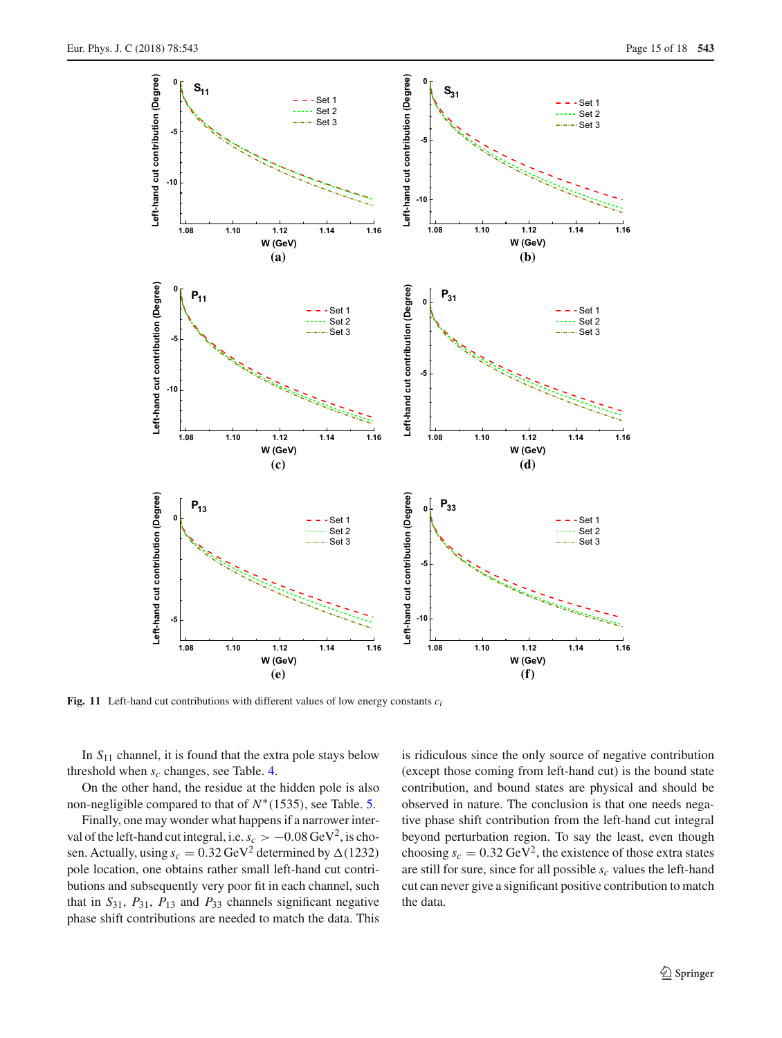

<span id="page-14-0"></span>**Fig. 11** Left-hand cut contributions with different values of low energy constants *ci*

In *S*<sup>11</sup> channel, it is found that the extra pole stays below threshold when  $s_c$  changes, see Table. [4.](#page-15-0)

On the other hand, the residue at the hidden pole is also non-negligible compared to that of *N*∗(1535), see Table. [5.](#page-15-2)

Finally, one may wonder what happens if a narrower interval of the left-hand cut integral, i.e.  $s_c > -0.08 \text{ GeV}^2$ , is chosen. Actually, using  $s_c = 0.32 \,\text{GeV}^2$  determined by  $\Delta(1232)$ pole location, one obtains rather small left-hand cut contributions and subsequently very poor fit in each channel, such that in  $S_{31}$ ,  $P_{31}$ ,  $P_{13}$  and  $P_{33}$  channels significant negative phase shift contributions are needed to match the data. This is ridiculous since the only source of negative contribution (except those coming from left-hand cut) is the bound state contribution, and bound states are physical and should be observed in nature. The conclusion is that one needs negative phase shift contribution from the left-hand cut integral beyond perturbation region. To say the least, even though choosing  $s_c = 0.32 \text{ GeV}^2$ , the existence of those extra states are still for sure, since for all possible  $s_c$  values the left-hand cut can never give a significant positive contribution to match the data.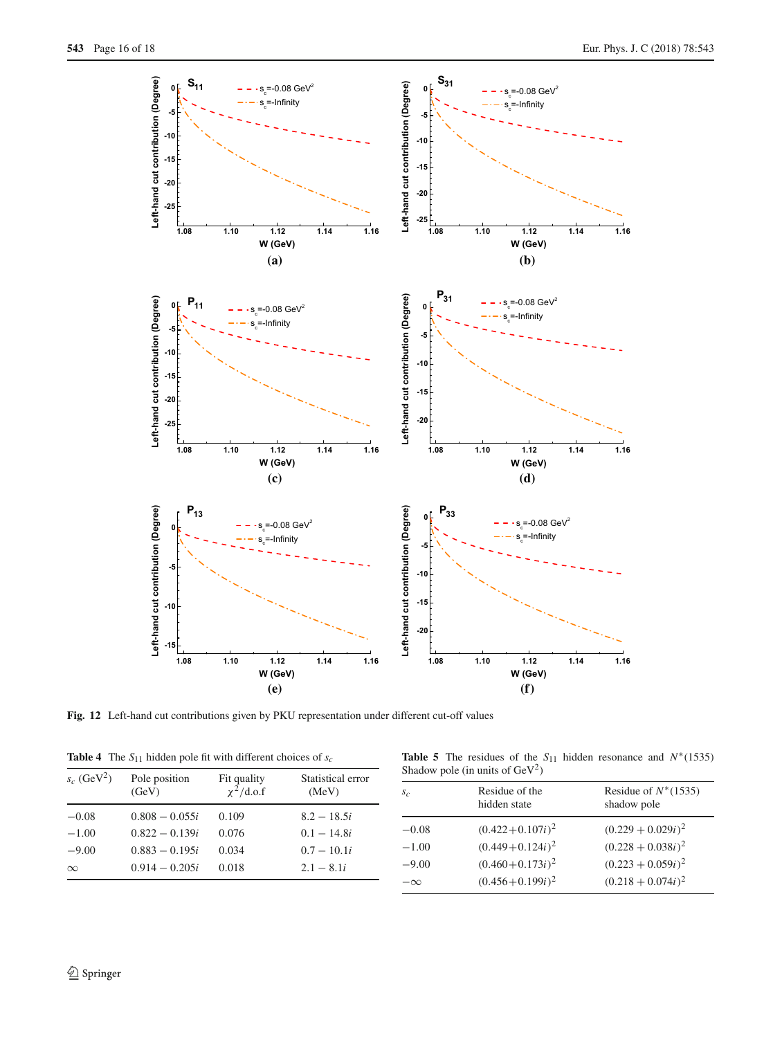

<span id="page-15-1"></span>**Fig. 12** Left-hand cut contributions given by PKU representation under different cut-off values

|  |  |  |  |  |  | <b>Table 4</b> The $S_{11}$ hidden pole fit with different choices of $s_c$ |  |  |  |
|--|--|--|--|--|--|-----------------------------------------------------------------------------|--|--|--|
|--|--|--|--|--|--|-----------------------------------------------------------------------------|--|--|--|

<span id="page-15-2"></span>**Table 5** The residues of the  $S_{11}$  hidden resonance and  $N*(1535)$ Shadow pole (in units of  $GeV^2$ )

<span id="page-15-0"></span>

| $s_c$ (GeV <sup>2</sup> ) | Pole position<br>(GeV) | Fit quality<br>$\chi^2$ /d.o.f | Statistical error<br>(MeV) | Shadow pole (in units of $UeV^2$ ) |                                |                                       |  |
|---------------------------|------------------------|--------------------------------|----------------------------|------------------------------------|--------------------------------|---------------------------------------|--|
|                           |                        |                                |                            | $S_{\mathcal{C}}$                  | Residue of the<br>hidden state | Residue of $N^*(1535)$<br>shadow pole |  |
| $-0.08$                   | $0.808 - 0.055i$       | 0.109                          | $8.2 - 18.5i$              |                                    |                                |                                       |  |
| $-1.00$                   | $0.822 - 0.139i$       | 0.076                          | $0.1 - 14.8i$              | $-0.08$                            | $(0.422+0.107i)^2$             | $(0.229 + 0.029i)^2$                  |  |
| $-9.00$                   | $0.883 - 0.195i$       | 0.034                          | $0.7 - 10.1i$              | $-1.00$                            | $(0.449+0.124i)^2$             | $(0.228 + 0.038i)^2$                  |  |
| $\infty$                  | $0.914 - 0.205i$       | 0.018                          | $2.1 - 8.1i$               | $-9.00$                            | $(0.460 + 0.173i)^2$           | $(0.223 + 0.059i)^2$                  |  |
|                           |                        |                                |                            | $-\infty$                          | $(0.456 + 0.199i)^2$           | $(0.218 + 0.074i)^2$                  |  |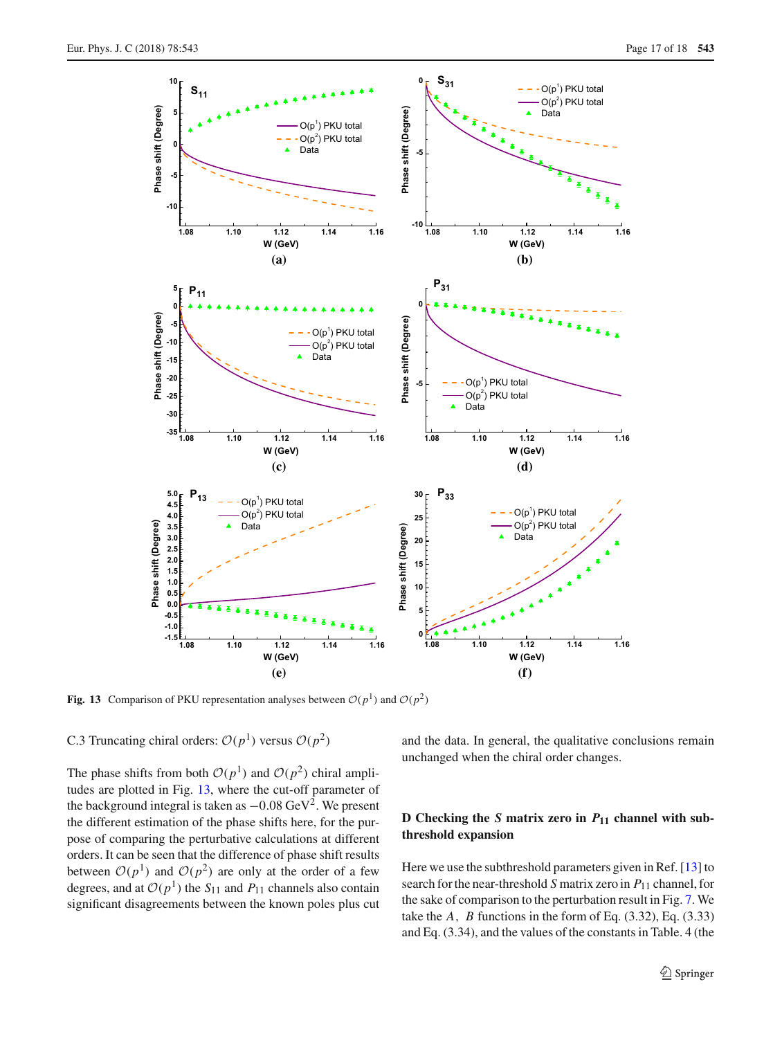

<span id="page-16-0"></span>**Fig. 13** Comparison of PKU representation analyses between  $O(p^1)$  and  $O(p^2)$ 

C.3 Truncating chiral orders:  $\mathcal{O}(p^1)$  versus  $\mathcal{O}(p^2)$ 

The phase shifts from both  $O(p^1)$  and  $O(p^2)$  chiral amplitudes are plotted in Fig. [13,](#page-16-0) where the cut-off parameter of the background integral is taken as  $-0.08 \text{ GeV}^2$ . We present the different estimation of the phase shifts here, for the purpose of comparing the perturbative calculations at different orders. It can be seen that the difference of phase shift results between  $O(p<sup>1</sup>)$  and  $O(p<sup>2</sup>)$  are only at the order of a few degrees, and at  $O(p<sup>1</sup>)$  the *S*<sub>11</sub> and *P*<sub>11</sub> channels also contain significant disagreements between the known poles plus cut and the data. In general, the qualitative conclusions remain unchanged when the chiral order changes.

## **D** Checking the *S* matrix zero in  $P_{11}$  channel with sub**threshold expansion**

Here we use the subthreshold parameters given in Ref. [\[13\]](#page-17-3) to search for the near-threshold *S* matrix zero in *P*<sup>11</sup> channel, for the sake of comparison to the perturbation result in Fig. [7.](#page-9-0) We take the  $A$ ,  $B$  functions in the form of Eq.  $(3.32)$ , Eq.  $(3.33)$ and Eq. (3.34), and the values of the constants in Table. 4 (the